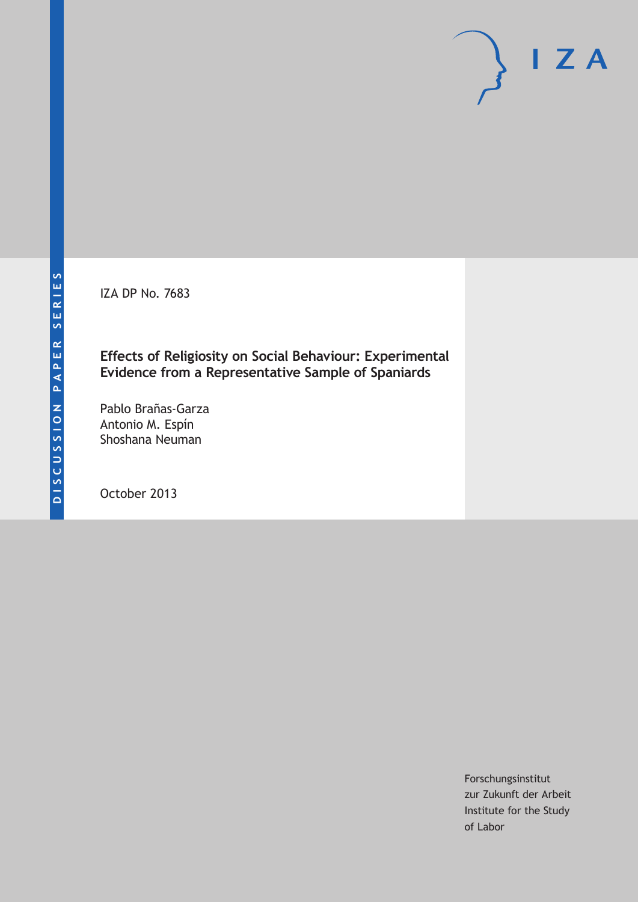IZA DP No. 7683

## **Effects of Religiosity on Social Behaviour: Experimental Evidence from a Representative Sample of Spaniards**

Pablo Brañas-Garza Antonio M. Espín Shoshana Neuman

October 2013

Forschungsinstitut zur Zukunft der Arbeit Institute for the Study of Labor

 $I Z A$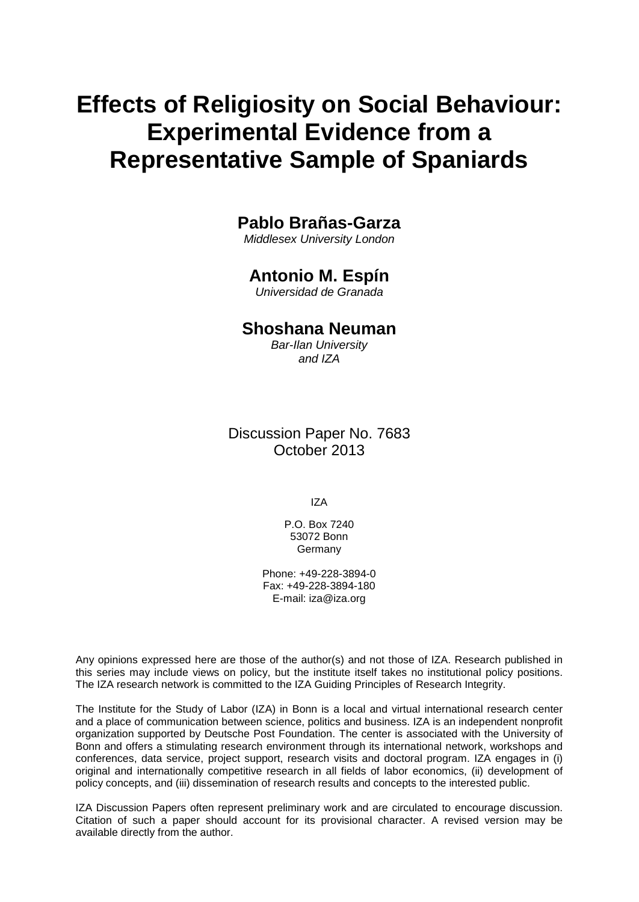# **Effects of Religiosity on Social Behaviour: Experimental Evidence from a Representative Sample of Spaniards**

## **Pablo Brañas-Garza**

*Middlesex University London*

# **Antonio M. Espín**

*Universidad de Granada*

### **Shoshana Neuman**

*Bar-Ilan University and IZA*

Discussion Paper No. 7683 October 2013

IZA

P.O. Box 7240 53072 Bonn Germany

Phone: +49-228-3894-0 Fax: +49-228-3894-180 E-mail: [iza@iza.org](mailto:iza@iza.org)

Any opinions expressed here are those of the author(s) and not those of IZA. Research published in this series may include views on policy, but the institute itself takes no institutional policy positions. The IZA research network is committed to the IZA Guiding Principles of Research Integrity.

The Institute for the Study of Labor (IZA) in Bonn is a local and virtual international research center and a place of communication between science, politics and business. IZA is an independent nonprofit organization supported by Deutsche Post Foundation. The center is associated with the University of Bonn and offers a stimulating research environment through its international network, workshops and conferences, data service, project support, research visits and doctoral program. IZA engages in (i) original and internationally competitive research in all fields of labor economics, (ii) development of policy concepts, and (iii) dissemination of research results and concepts to the interested public.

<span id="page-1-0"></span>IZA Discussion Papers often represent preliminary work and are circulated to encourage discussion. Citation of such a paper should account for its provisional character. A revised version may be available directly from the author.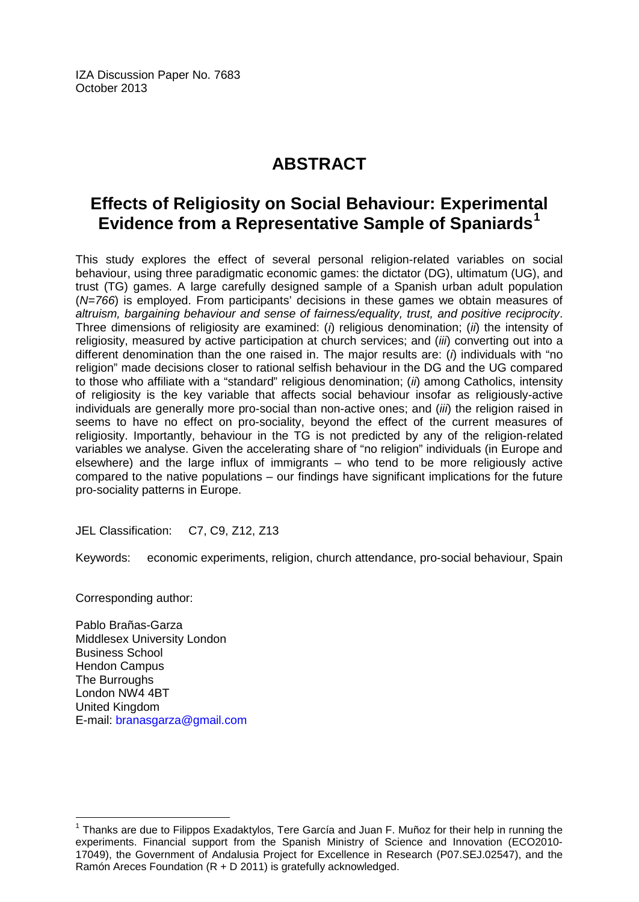IZA Discussion Paper No. 7683 October 2013

# **ABSTRACT**

# **Effects of Religiosity on Social Behaviour: Experimental Evidence from a Representative Sample of Spaniards[1](#page-1-0)**

This study explores the effect of several personal religion-related variables on social behaviour, using three paradigmatic economic games: the dictator (DG), ultimatum (UG), and trust (TG) games. A large carefully designed sample of a Spanish urban adult population (*N=766*) is employed. From participants' decisions in these games we obtain measures of *altruism, bargaining behaviour and sense of fairness/equality, trust, and positive reciprocity*. Three dimensions of religiosity are examined: (*i*) religious denomination; (*ii*) the intensity of religiosity, measured by active participation at church services; and (*iii*) converting out into a different denomination than the one raised in. The major results are: (*i*) individuals with "no religion" made decisions closer to rational selfish behaviour in the DG and the UG compared to those who affiliate with a "standard" religious denomination; (*ii*) among Catholics, intensity of religiosity is the key variable that affects social behaviour insofar as religiously-active individuals are generally more pro-social than non-active ones; and (*iii*) the religion raised in seems to have no effect on pro-sociality, beyond the effect of the current measures of religiosity. Importantly, behaviour in the TG is not predicted by any of the religion-related variables we analyse. Given the accelerating share of "no religion" individuals (in Europe and elsewhere) and the large influx of immigrants – who tend to be more religiously active compared to the native populations – our findings have significant implications for the future pro-sociality patterns in Europe.

JEL Classification: C7, C9, Z12, Z13

Keywords: economic experiments, religion, church attendance, pro-social behaviour, Spain

Corresponding author:

Pablo Brañas-Garza Middlesex University London Business School Hendon Campus The Burroughs London NW4 4BT United Kingdom E-mail: [branasgarza@gmail.com](mailto:branasgarza@gmail.com)

 $1$  Thanks are due to Filippos Exadaktylos, Tere García and Juan F. Muñoz for their help in running the experiments. Financial support from the Spanish Ministry of Science and Innovation (ECO2010- 17049), the Government of Andalusia Project for Excellence in Research (P07.SEJ.02547), and the Ramón Areces Foundation (R + D 2011) is gratefully acknowledged.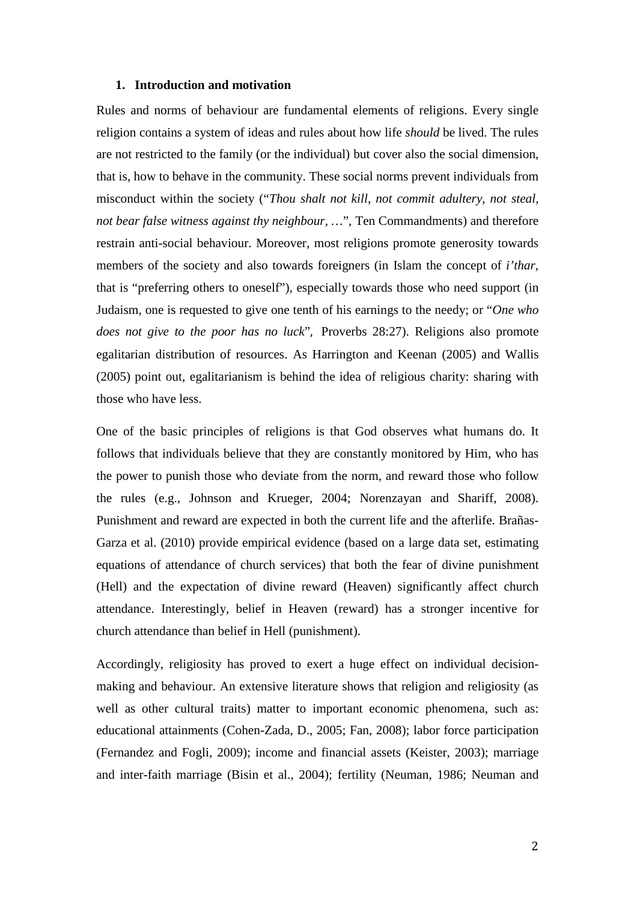#### **1. Introduction and motivation**

Rules and norms of behaviour are fundamental elements of religions. Every single religion contains a system of ideas and rules about how life *should* be lived. The rules are not restricted to the family (or the individual) but cover also the social dimension, that is, how to behave in the community. These social norms prevent individuals from misconduct within the society ("*Thou shalt not kill*, *not commit adultery*, *not steal, not bear false witness against thy neighbour, …*", Ten Commandments) and therefore restrain anti-social behaviour. Moreover, most religions promote generosity towards members of the society and also towards foreigners (in Islam the concept of *i'thar*, that is "preferring others to oneself"), especially towards those who need support (in Judaism, one is requested to give one tenth of his earnings to the needy; or "*One who does not give to the poor has no luck*", Proverbs 28:27). Religions also promote egalitarian distribution of resources. As Harrington and Keenan (2005) and Wallis (2005) point out, egalitarianism is behind the idea of religious charity: sharing with those who have less.

One of the basic principles of religions is that God observes what humans do. It follows that individuals believe that they are constantly monitored by Him, who has the power to punish those who deviate from the norm, and reward those who follow the rules (e.g., Johnson and Krueger, 2004; Norenzayan and Shariff, 2008). Punishment and reward are expected in both the current life and the afterlife. Brañas-Garza et al. (2010) provide empirical evidence (based on a large data set, estimating equations of attendance of church services) that both the fear of divine punishment (Hell) and the expectation of divine reward (Heaven) significantly affect church attendance. Interestingly, belief in Heaven (reward) has a stronger incentive for church attendance than belief in Hell (punishment).

Accordingly, religiosity has proved to exert a huge effect on individual decisionmaking and behaviour. An extensive literature shows that religion and religiosity (as well as other cultural traits) matter to important economic phenomena, such as: educational attainments (Cohen-Zada, D., 2005; Fan, 2008); labor force participation (Fernandez and Fogli, 2009); income and financial assets (Keister, 2003); marriage and inter-faith marriage (Bisin et al., 2004); fertility (Neuman, 1986; Neuman and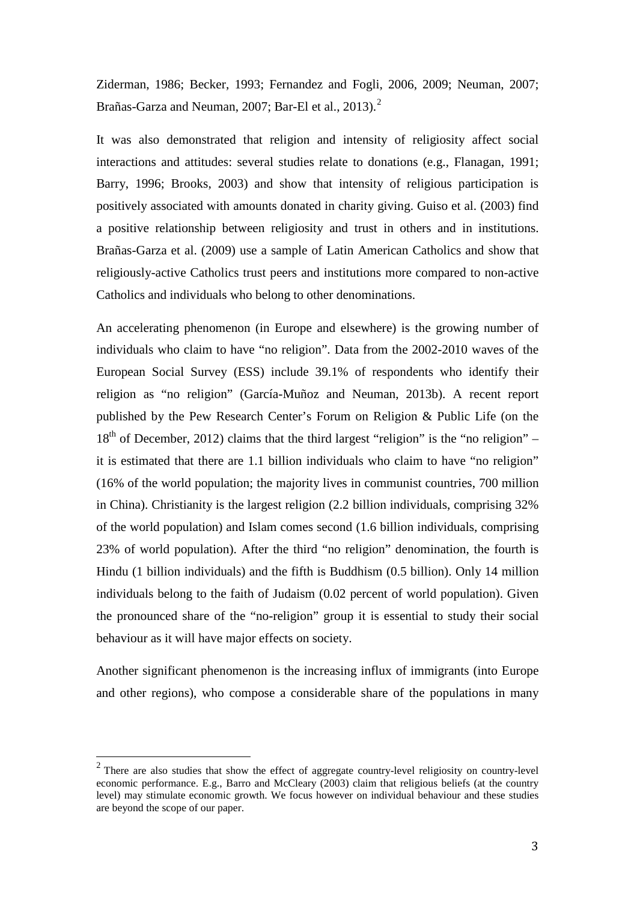Ziderman, 1986; Becker, 1993; Fernandez and Fogli, 2006, 2009; Neuman, 2007; Brañas-Garza and Neuman, 2007; Bar-El et al., 2013).<sup>2</sup>

It was also demonstrated that religion and intensity of religiosity affect social interactions and attitudes: several studies relate to donations (e.g., Flanagan, 1991; Barry, 1996; Brooks, 2003) and show that intensity of religious participation is positively associated with amounts donated in charity giving. Guiso et al. (2003) find a positive relationship between religiosity and trust in others and in institutions. Brañas-Garza et al. (2009) use a sample of Latin American Catholics and show that religiously-active Catholics trust peers and institutions more compared to non-active Catholics and individuals who belong to other denominations.

An accelerating phenomenon (in Europe and elsewhere) is the growing number of individuals who claim to have "no religion". Data from the 2002-2010 waves of the European Social Survey (ESS) include 39.1% of respondents who identify their religion as "no religion" (García-Muñoz and Neuman, 2013b). A recent report published by the Pew Research Center's Forum on Religion & Public Life (on the  $18<sup>th</sup>$  of December, 2012) claims that the third largest "religion" is the "no religion" – it is estimated that there are 1.1 billion individuals who claim to have "no religion" (16% of the world population; the majority lives in communist countries, 700 million in China). Christianity is the largest religion (2.2 billion individuals, comprising 32% of the world population) and Islam comes second (1.6 billion individuals, comprising 23% of world population). After the third "no religion" denomination, the fourth is Hindu (1 billion individuals) and the fifth is Buddhism (0.5 billion). Only 14 million individuals belong to the faith of Judaism (0.02 percent of world population). Given the pronounced share of the "no-religion" group it is essential to study their social behaviour as it will have major effects on society.

<span id="page-4-0"></span>Another significant phenomenon is the increasing influx of immigrants (into Europe and other regions), who compose a considerable share of the populations in many

 $2$  There are also studies that show the effect of aggregate country-level religiosity on country-level economic performance. E.g., Barro and McCleary (2003) claim that religious beliefs (at the country level) may stimulate economic growth. We focus however on individual behaviour and these studies are beyond the scope of our paper.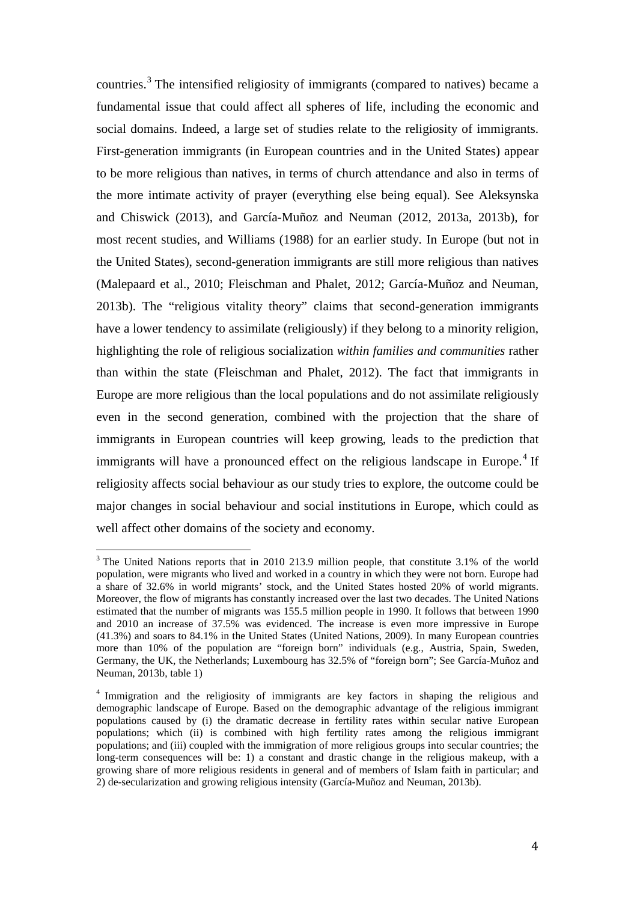countries. [3](#page-4-0) The intensified religiosity of immigrants (compared to natives) became a fundamental issue that could affect all spheres of life, including the economic and social domains. Indeed, a large set of studies relate to the religiosity of immigrants. First-generation immigrants (in European countries and in the United States) appear to be more religious than natives, in terms of church attendance and also in terms of the more intimate activity of prayer (everything else being equal). See Aleksynska and Chiswick (2013), and García-Muñoz and Neuman (2012, 2013a, 2013b), for most recent studies, and Williams (1988) for an earlier study. In Europe (but not in the United States), second-generation immigrants are still more religious than natives (Malepaard et al., 2010; Fleischman and Phalet, 2012; García-Muñoz and Neuman, 2013b). The "religious vitality theory" claims that second-generation immigrants have a lower tendency to assimilate (religiously) if they belong to a minority religion, highlighting the role of religious socialization *within families and communities* rather than within the state (Fleischman and Phalet, 2012). The fact that immigrants in Europe are more religious than the local populations and do not assimilate religiously even in the second generation, combined with the projection that the share of immigrants in European countries will keep growing, leads to the prediction that immigrants will have a pronounced effect on the religious landscape in Europe.<sup>[4](#page-5-0)</sup> If religiosity affects social behaviour as our study tries to explore, the outcome could be major changes in social behaviour and social institutions in Europe, which could as well affect other domains of the society and economy.

<sup>&</sup>lt;sup>3</sup> The United Nations reports that in 2010 213.9 million people, that constitute 3.1% of the world population, were migrants who lived and worked in a country in which they were not born. Europe had a share of 32.6% in world migrants' stock, and the United States hosted 20% of world migrants. Moreover, the flow of migrants has constantly increased over the last two decades. The United Nations estimated that the number of migrants was 155.5 million people in 1990. It follows that between 1990 and 2010 an increase of 37.5% was evidenced. The increase is even more impressive in Europe (41.3%) and soars to 84.1% in the United States (United Nations, 2009). In many European countries more than 10% of the population are "foreign born" individuals (e.g., Austria, Spain, Sweden, Germany, the UK, the Netherlands; Luxembourg has 32.5% of "foreign born"; See García-Muñoz and Neuman, 2013b, table 1)

<span id="page-5-1"></span><span id="page-5-0"></span><sup>4</sup> Immigration and the religiosity of immigrants are key factors in shaping the religious and demographic landscape of Europe. Based on the demographic advantage of the religious immigrant populations caused by (i) the dramatic decrease in fertility rates within secular native European populations; which (ii) is combined with high fertility rates among the religious immigrant populations; and (iii) coupled with the immigration of more religious groups into secular countries; the long-term consequences will be: 1) a constant and drastic change in the religious makeup, with a growing share of more religious residents in general and of members of Islam faith in particular; and 2) de-secularization and growing religious intensity (García-Muñoz and Neuman, 2013b).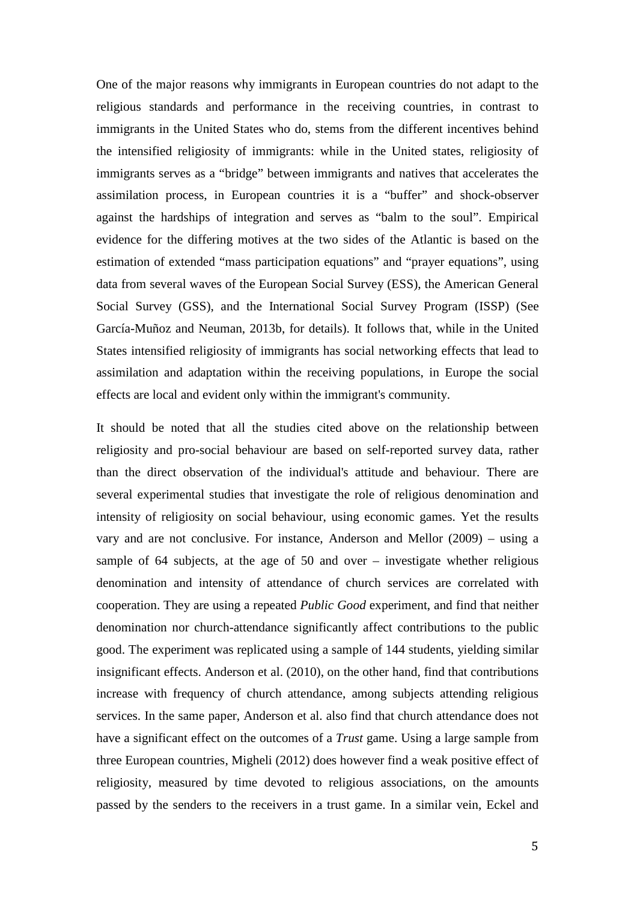One of the major reasons why immigrants in European countries do not adapt to the religious standards and performance in the receiving countries, in contrast to immigrants in the United States who do, stems from the different incentives behind the intensified religiosity of immigrants: while in the United states, religiosity of immigrants serves as a "bridge" between immigrants and natives that accelerates the assimilation process, in European countries it is a "buffer" and shock-observer against the hardships of integration and serves as "balm to the soul". Empirical evidence for the differing motives at the two sides of the Atlantic is based on the estimation of extended "mass participation equations" and "prayer equations", using data from several waves of the European Social Survey (ESS), the American General Social Survey (GSS), and the International Social Survey Program (ISSP) (See García-Muñoz and Neuman, 2013b, for details). It follows that, while in the United States intensified religiosity of immigrants has social networking effects that lead to assimilation and adaptation within the receiving populations, in Europe the social effects are local and evident only within the immigrant's community.

It should be noted that all the studies cited above on the relationship between religiosity and pro-social behaviour are based on self-reported survey data, rather than the direct observation of the individual's attitude and behaviour. There are several experimental studies that investigate the role of religious denomination and intensity of religiosity on social behaviour, using economic games. Yet the results vary and are not conclusive. For instance, Anderson and Mellor (2009) – using a sample of 64 subjects, at the age of 50 and over – investigate whether religious denomination and intensity of attendance of church services are correlated with cooperation. They are using a repeated *Public Good* experiment, and find that neither denomination nor church-attendance significantly affect contributions to the public good. The experiment was replicated using a sample of 144 students, yielding similar insignificant effects. Anderson et al. (2010), on the other hand, find that contributions increase with frequency of church attendance, among subjects attending religious services. In the same paper, Anderson et al. also find that church attendance does not have a significant effect on the outcomes of a *Trust* game. Using a large sample from three European countries, Migheli (2012) does however find a weak positive effect of religiosity, measured by time devoted to religious associations, on the amounts passed by the senders to the receivers in a trust game. In a similar vein, Eckel and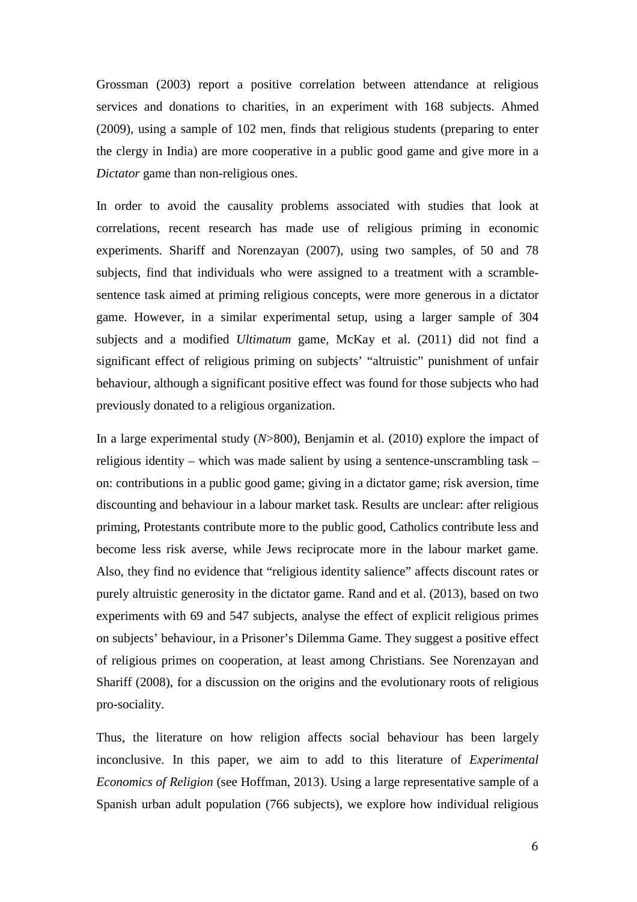Grossman (2003) report a positive correlation between attendance at religious services and donations to charities, in an experiment with 168 subjects. Ahmed (2009), using a sample of 102 men, finds that religious students (preparing to enter the clergy in India) are more cooperative in a public good game and give more in a *Dictator* game than non-religious ones.

In order to avoid the causality problems associated with studies that look at correlations, recent research has made use of religious priming in economic experiments. Shariff and Norenzayan (2007), using two samples, of 50 and 78 subjects, find that individuals who were assigned to a treatment with a scramblesentence task aimed at priming religious concepts, were more generous in a dictator game. However, in a similar experimental setup, using a larger sample of 304 subjects and a modified *Ultimatum* game, McKay et al. (2011) did not find a significant effect of religious priming on subjects' "altruistic" punishment of unfair behaviour, although a significant positive effect was found for those subjects who had previously donated to a religious organization.

In a large experimental study (*N*>800), Benjamin et al. (2010) explore the impact of religious identity – which was made salient by using a sentence-unscrambling task – on: contributions in a public good game; giving in a dictator game; risk aversion, time discounting and behaviour in a labour market task. Results are unclear: after religious priming, Protestants contribute more to the public good, Catholics contribute less and become less risk averse, while Jews reciprocate more in the labour market game. Also, they find no evidence that "religious identity salience" affects discount rates or purely altruistic generosity in the dictator game. Rand and et al. (2013), based on two experiments with 69 and 547 subjects, analyse the effect of explicit religious primes on subjects' behaviour, in a Prisoner's Dilemma Game. They suggest a positive effect of religious primes on cooperation, at least among Christians. See Norenzayan and Shariff (2008), for a discussion on the origins and the evolutionary roots of religious pro-sociality.

Thus, the literature on how religion affects social behaviour has been largely inconclusive. In this paper, we aim to add to this literature of *Experimental Economics of Religion* (see Hoffman, 2013). Using a large representative sample of a Spanish urban adult population (766 subjects), we explore how individual religious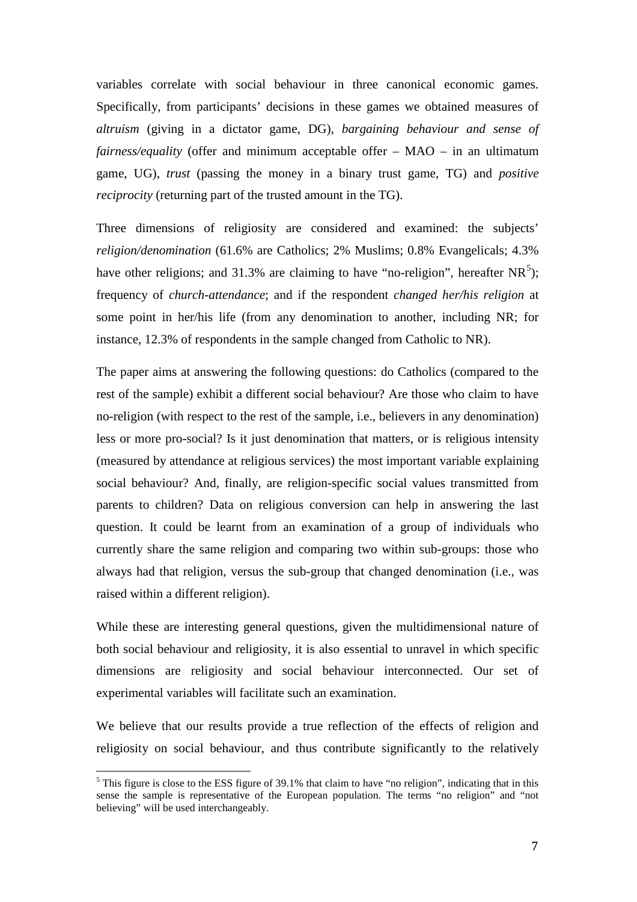variables correlate with social behaviour in three canonical economic games. Specifically, from participants' decisions in these games we obtained measures of *altruism* (giving in a dictator game, DG), *bargaining behaviour and sense of fairness/equality* (offer and minimum acceptable offer – MAO – in an ultimatum game, UG), *trust* (passing the money in a binary trust game, TG) and *positive reciprocity* (returning part of the trusted amount in the TG).

Three dimensions of religiosity are considered and examined: the subjects' *religion/denomination* (61.6% are Catholics; 2% Muslims; 0.8% Evangelicals; 4.3% have other religions; and 31.3% are claiming to have "no-religion", hereafter  $NR^5$  $NR^5$ ); frequency of *church-attendance*; and if the respondent *changed her/his religion* at some point in her/his life (from any denomination to another, including NR; for instance, 12.3% of respondents in the sample changed from Catholic to NR).

The paper aims at answering the following questions: do Catholics (compared to the rest of the sample) exhibit a different social behaviour? Are those who claim to have no-religion (with respect to the rest of the sample, i.e., believers in any denomination) less or more pro-social? Is it just denomination that matters, or is religious intensity (measured by attendance at religious services) the most important variable explaining social behaviour? And, finally, are religion-specific social values transmitted from parents to children? Data on religious conversion can help in answering the last question. It could be learnt from an examination of a group of individuals who currently share the same religion and comparing two within sub-groups: those who always had that religion, versus the sub-group that changed denomination (i.e., was raised within a different religion).

While these are interesting general questions, given the multidimensional nature of both social behaviour and religiosity, it is also essential to unravel in which specific dimensions are religiosity and social behaviour interconnected. Our set of experimental variables will facilitate such an examination.

<span id="page-8-0"></span>We believe that our results provide a true reflection of the effects of religion and religiosity on social behaviour, and thus contribute significantly to the relatively

<sup>&</sup>lt;sup>5</sup> This figure is close to the ESS figure of 39.1% that claim to have "no religion", indicating that in this sense the sample is representative of the European population. The terms "no religion" and "not believing" will be used interchangeably.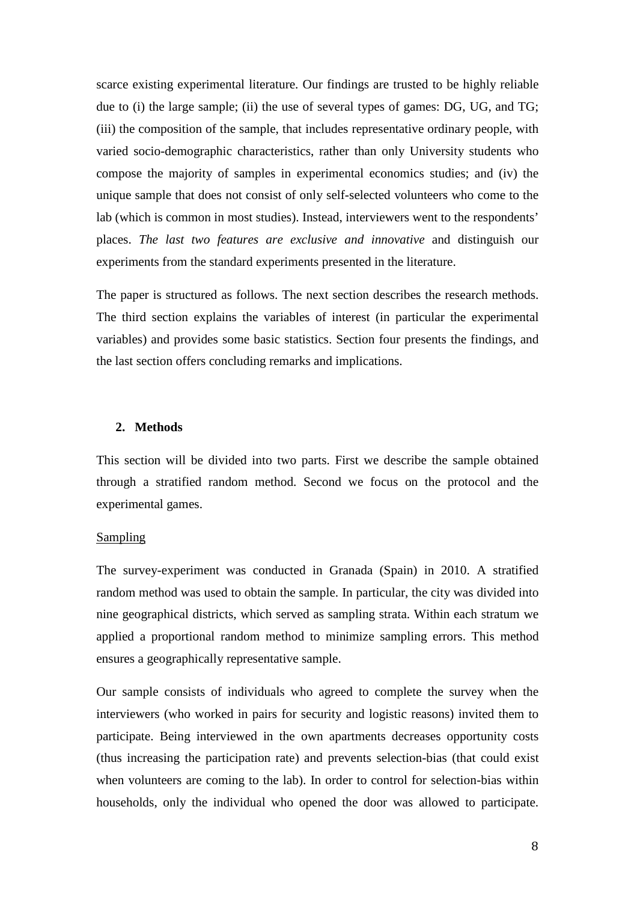scarce existing experimental literature. Our findings are trusted to be highly reliable due to (i) the large sample; (ii) the use of several types of games: DG, UG, and TG; (iii) the composition of the sample, that includes representative ordinary people, with varied socio-demographic characteristics, rather than only University students who compose the majority of samples in experimental economics studies; and (iv) the unique sample that does not consist of only self-selected volunteers who come to the lab (which is common in most studies). Instead, interviewers went to the respondents' places. *The last two features are exclusive and innovative* and distinguish our experiments from the standard experiments presented in the literature.

The paper is structured as follows. The next section describes the research methods. The third section explains the variables of interest (in particular the experimental variables) and provides some basic statistics. Section four presents the findings, and the last section offers concluding remarks and implications.

#### **2. Methods**

This section will be divided into two parts. First we describe the sample obtained through a stratified random method. Second we focus on the protocol and the experimental games.

#### Sampling

The survey-experiment was conducted in Granada (Spain) in 2010. A stratified random method was used to obtain the sample. In particular, the city was divided into nine geographical districts, which served as sampling strata. Within each stratum we applied a proportional random method to minimize sampling errors. This method ensures a geographically representative sample.

Our sample consists of individuals who agreed to complete the survey when the interviewers (who worked in pairs for security and logistic reasons) invited them to participate. Being interviewed in the own apartments decreases opportunity costs (thus increasing the participation rate) and prevents selection-bias (that could exist when volunteers are coming to the lab). In order to control for selection-bias within households, only the individual who opened the door was allowed to participate.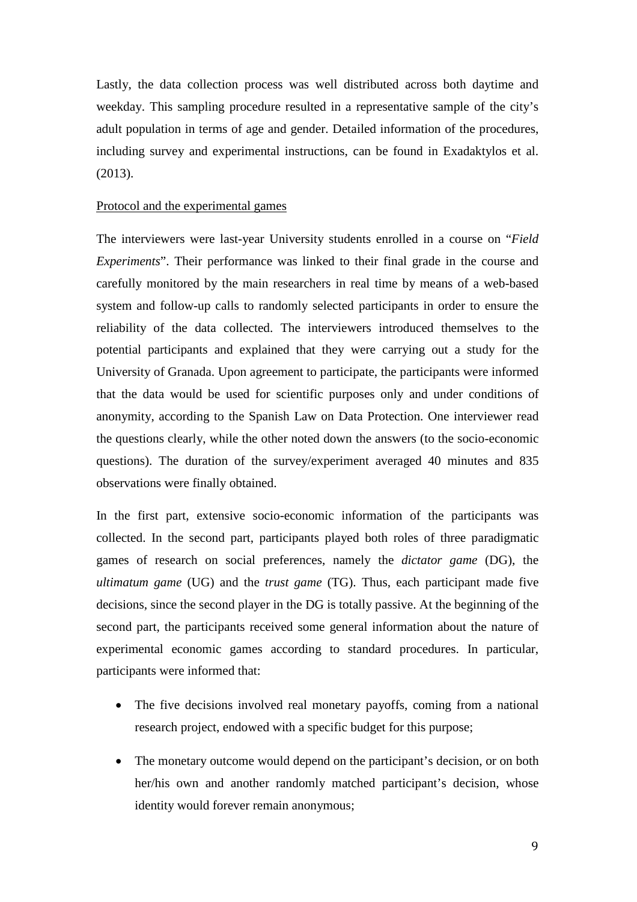Lastly, the data collection process was well distributed across both daytime and weekday. This sampling procedure resulted in a representative sample of the city's adult population in terms of age and gender. Detailed information of the procedures, including survey and experimental instructions, can be found in Exadaktylos et al. (2013).

#### Protocol and the experimental games

The interviewers were last-year University students enrolled in a course on "*Field Experiments*". Their performance was linked to their final grade in the course and carefully monitored by the main researchers in real time by means of a web-based system and follow-up calls to randomly selected participants in order to ensure the reliability of the data collected. The interviewers introduced themselves to the potential participants and explained that they were carrying out a study for the University of Granada. Upon agreement to participate, the participants were informed that the data would be used for scientific purposes only and under conditions of anonymity, according to the Spanish Law on Data Protection. One interviewer read the questions clearly, while the other noted down the answers (to the socio-economic questions). The duration of the survey/experiment averaged 40 minutes and 835 observations were finally obtained.

In the first part, extensive socio-economic information of the participants was collected. In the second part, participants played both roles of three paradigmatic games of research on social preferences, namely the *dictator game* (DG), the *ultimatum game* (UG) and the *trust game* (TG). Thus, each participant made five decisions, since the second player in the DG is totally passive. At the beginning of the second part, the participants received some general information about the nature of experimental economic games according to standard procedures. In particular, participants were informed that:

- The five decisions involved real monetary payoffs, coming from a national research project, endowed with a specific budget for this purpose;
- The monetary outcome would depend on the participant's decision, or on both her/his own and another randomly matched participant's decision, whose identity would forever remain anonymous;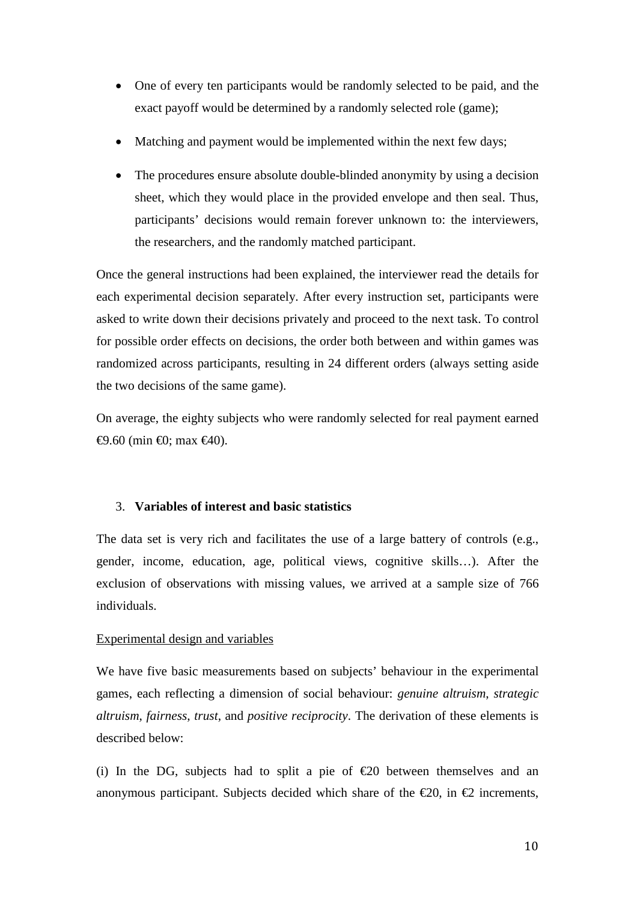- One of every ten participants would be randomly selected to be paid, and the exact payoff would be determined by a randomly selected role (game);
- Matching and payment would be implemented within the next few days;
- The procedures ensure absolute double-blinded anonymity by using a decision sheet, which they would place in the provided envelope and then seal. Thus, participants' decisions would remain forever unknown to: the interviewers, the researchers, and the randomly matched participant.

Once the general instructions had been explained, the interviewer read the details for each experimental decision separately. After every instruction set, participants were asked to write down their decisions privately and proceed to the next task. To control for possible order effects on decisions, the order both between and within games was randomized across participants, resulting in 24 different orders (always setting aside the two decisions of the same game).

On average, the eighty subjects who were randomly selected for real payment earned  $\Theta$ .60 (min  $\Theta$ ; max  $\Theta$ 40).

#### 3. **Variables of interest and basic statistics**

The data set is very rich and facilitates the use of a large battery of controls (e.g., gender, income, education, age, political views, cognitive skills…). After the exclusion of observations with missing values, we arrived at a sample size of 766 individuals.

#### Experimental design and variables

We have five basic measurements based on subjects' behaviour in the experimental games, each reflecting a dimension of social behaviour: *genuine altruism*, *strategic altruism*, *fairness*, *trust*, and *positive reciprocity*. The derivation of these elements is described below:

(i) In the DG, subjects had to split a pie of  $\epsilon$ 20 between themselves and an anonymous participant. Subjects decided which share of the  $\epsilon$ 20, in  $\epsilon$ 2 increments,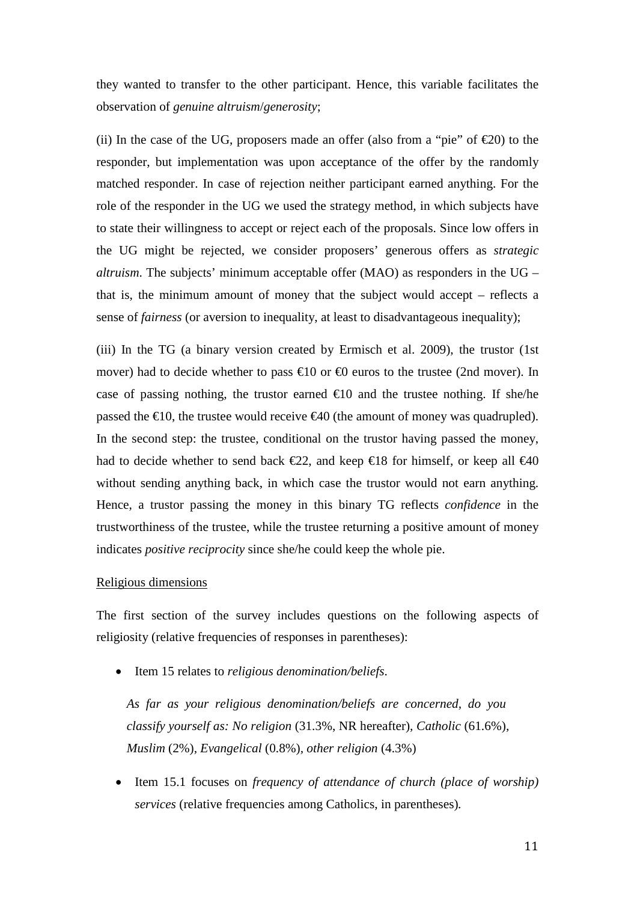they wanted to transfer to the other participant. Hence, this variable facilitates the observation of *genuine altruism*/*generosity*;

(ii) In the case of the UG, proposers made an offer (also from a "pie" of  $\epsilon 20$ ) to the responder, but implementation was upon acceptance of the offer by the randomly matched responder. In case of rejection neither participant earned anything. For the role of the responder in the UG we used the strategy method, in which subjects have to state their willingness to accept or reject each of the proposals. Since low offers in the UG might be rejected, we consider proposers' generous offers as *strategic altruism*. The subjects' minimum acceptable offer (MAO) as responders in the UG – that is, the minimum amount of money that the subject would accept – reflects a sense of *fairness* (or aversion to inequality, at least to disadvantageous inequality);

(iii) In the TG (a binary version created by Ermisch et al. 2009), the trustor (1st mover) had to decide whether to pass  $\bigoplus$  or  $\bigoplus$  euros to the trustee (2nd mover). In case of passing nothing, the trustor earned  $\infty$  and the trustee nothing. If she/he passed the  $\epsilon 10$ , the trustee would receive  $\epsilon 40$  (the amount of money was quadrupled). In the second step: the trustee, conditional on the trustor having passed the money, had to decide whether to send back  $\epsilon 22$ , and keep  $\epsilon 18$  for himself, or keep all  $\epsilon 40$ without sending anything back, in which case the trustor would not earn anything. Hence, a trustor passing the money in this binary TG reflects *confidence* in the trustworthiness of the trustee, while the trustee returning a positive amount of money indicates *positive reciprocity* since she/he could keep the whole pie.

#### Religious dimensions

The first section of the survey includes questions on the following aspects of religiosity (relative frequencies of responses in parentheses):

• Item 15 relates to *religious denomination/beliefs*.

*As far as your religious denomination/beliefs are concerned, do you classify yourself as: No religion* (31.3%, NR hereafter)*, Catholic* (61.6%)*, Muslim* (2%)*, Evangelical* (0.8%)*, other religion* (4.3%)

• Item 15.1 focuses on *frequency of attendance of church (place of worship) services* (relative frequencies among Catholics, in parentheses)*.*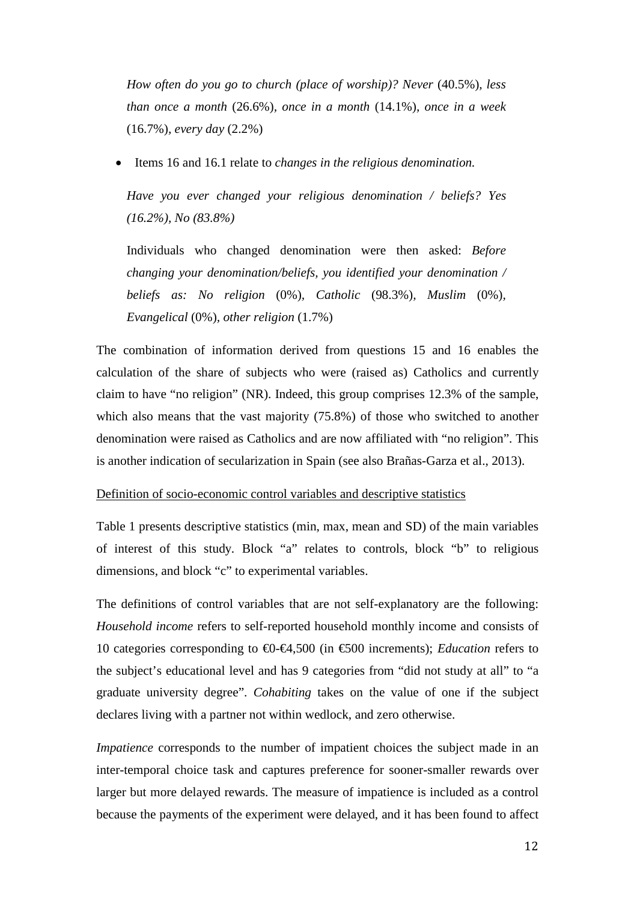*How often do you go to church (place of worship)? Never (40.5%), less than once a month* (26.6%)*, once in a month* (14.1%)*, once in a week*  (16.7%)*, every day* (2.2%)

• Items 16 and 16.1 relate to *changes in the religious denomination.*

*Have you ever changed your religious denomination / beliefs? Yes (16.2%), No (83.8%)*

Individuals who changed denomination were then asked: *Before changing your denomination/beliefs, you identified your denomination / beliefs as: No religion* (0%)*, Catholic* (98.3%)*, Muslim* (0%)*, Evangelical* (0%)*, other religion* (1.7%)

The combination of information derived from questions 15 and 16 enables the calculation of the share of subjects who were (raised as) Catholics and currently claim to have "no religion" (NR). Indeed, this group comprises 12.3% of the sample, which also means that the vast majority (75.8%) of those who switched to another denomination were raised as Catholics and are now affiliated with "no religion". This is another indication of secularization in Spain (see also Brañas-Garza et al., 2013).

#### Definition of socio-economic control variables and descriptive statistics

Table 1 presents descriptive statistics (min, max, mean and SD) of the main variables of interest of this study. Block "a" relates to controls, block "b" to religious dimensions, and block "c" to experimental variables.

The definitions of control variables that are not self-explanatory are the following: *Household income* refers to self-reported household monthly income and consists of 10 categories corresponding to €0-€4,500 (in €500 increments); *Education* refers to the subject's educational level and has 9 categories from "did not study at all" to "a graduate university degree". *Cohabiting* takes on the value of one if the subject declares living with a partner not within wedlock, and zero otherwise.

*Impatience* corresponds to the number of impatient choices the subject made in an inter-temporal choice task and captures preference for sooner-smaller rewards over larger but more delayed rewards. The measure of impatience is included as a control because the payments of the experiment were delayed, and it has been found to affect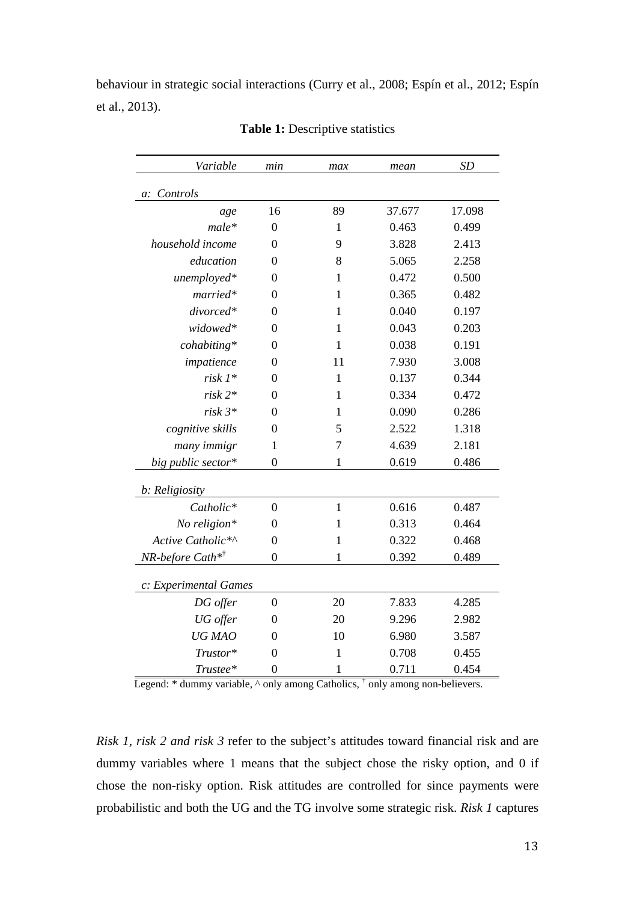behaviour in strategic social interactions (Curry et al., 2008; Espín et al., 2012; Espín et al., 2013).

| Variable                                        | min              | max          | mean   | <b>SD</b> |
|-------------------------------------------------|------------------|--------------|--------|-----------|
| Controls<br>a:                                  |                  |              |        |           |
| age                                             | 16               | 89           | 37.677 | 17.098    |
| $male*$                                         | $\overline{0}$   | $\mathbf{1}$ | 0.463  | 0.499     |
| household income                                | 0                | 9            | 3.828  | 2.413     |
| education                                       | 0                | 8            | 5.065  | 2.258     |
| unemployed*                                     | $\boldsymbol{0}$ | $\mathbf{1}$ | 0.472  | 0.500     |
| married*                                        | 0                | $\mathbf{1}$ | 0.365  | 0.482     |
| divorced*                                       | $\overline{0}$   | $\mathbf{1}$ | 0.040  | 0.197     |
| widowed*                                        | 0                | 1            | 0.043  | 0.203     |
| cohabiting*                                     | 0                | 1            | 0.038  | 0.191     |
| impatience                                      | 0                | 11           | 7.930  | 3.008     |
| $risk 1*$                                       | $\overline{0}$   | $\mathbf{1}$ | 0.137  | 0.344     |
| $risk 2*$                                       | $\theta$         | $\mathbf{1}$ | 0.334  | 0.472     |
| $risk 3*$                                       | 0                | 1            | 0.090  | 0.286     |
| cognitive skills                                | $\overline{0}$   | 5            | 2.522  | 1.318     |
| many immigr                                     | $\mathbf{1}$     | 7            | 4.639  | 2.181     |
| big public sector*                              | $\overline{0}$   | 1            | 0.619  | 0.486     |
| b: Religiosity                                  |                  |              |        |           |
| Catholic*                                       | $\overline{0}$   | $\mathbf{1}$ | 0.616  | 0.487     |
| No religion $*$                                 | 0                | $\mathbf{1}$ | 0.313  | 0.464     |
| Active Catholic*^                               | $\boldsymbol{0}$ | $\mathbf{1}$ | 0.322  | 0.468     |
| $NR\text{-}before\ \textit{Cath}^{\ast\dagger}$ | $\overline{0}$   | 1            | 0.392  | 0.489     |
| c: Experimental Games                           |                  |              |        |           |
| DG offer                                        | $\boldsymbol{0}$ | 20           | 7.833  | 4.285     |
| UG offer                                        | 0                | 20           | 9.296  | 2.982     |
| UG MAO                                          | 0                | 10           | 6.980  | 3.587     |
| Trustor*                                        | 0                | $\mathbf{1}$ | 0.708  | 0.455     |
| Trustee*                                        | $\overline{0}$   | $\mathbf 1$  | 0.711  | 0.454     |

**Table 1:** Descriptive statistics

Legend: \* dummy variable, ^ only among Catholics,  $\dagger$  only among non-believers.

*Risk 1, risk 2 and risk 3* refer to the subject's attitudes toward financial risk and are dummy variables where 1 means that the subject chose the risky option, and 0 if chose the non-risky option. Risk attitudes are controlled for since payments were probabilistic and both the UG and the TG involve some strategic risk. *Risk 1* captures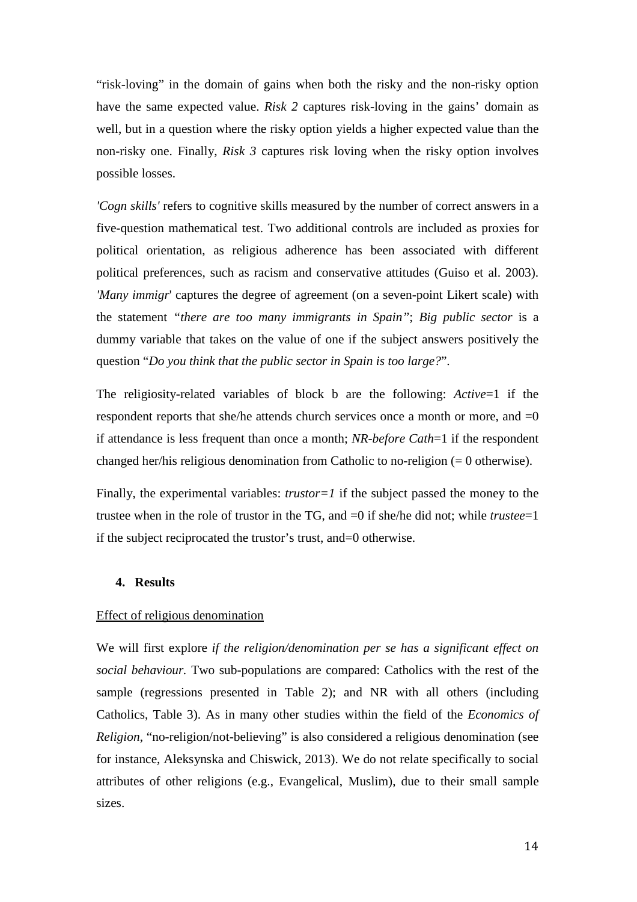"risk-loving" in the domain of gains when both the risky and the non-risky option have the same expected value. *Risk 2* captures risk-loving in the gains' domain as well, but in a question where the risky option yields a higher expected value than the non-risky one. Finally, *Risk 3* captures risk loving when the risky option involves possible losses.

*'Cogn skills'* refers to cognitive skills measured by the number of correct answers in a five-question mathematical test. Two additional controls are included as proxies for political orientation, as religious adherence has been associated with different political preferences, such as racism and conservative attitudes (Guiso et al. 2003). *'Many immigr*' captures the degree of agreement (on a seven-point Likert scale) with the statement *"there are too many immigrants in Spain"*; *Big public sector* is a dummy variable that takes on the value of one if the subject answers positively the question "*Do you think that the public sector in Spain is too large?*".

The religiosity-related variables of block b are the following: *Active*=1 if the respondent reports that she/he attends church services once a month or more, and  $=0$ if attendance is less frequent than once a month; *NR-before Cath*=1 if the respondent changed her/his religious denomination from Catholic to no-religion (= 0 otherwise).

Finally, the experimental variables: *trustor=1* if the subject passed the money to the trustee when in the role of trustor in the TG, and =0 if she/he did not; while *trustee*=1 if the subject reciprocated the trustor's trust, and=0 otherwise.

#### **4. Results**

#### Effect of religious denomination

We will first explore *if the religion/denomination per se has a significant effect on social behaviour.* Two sub-populations are compared: Catholics with the rest of the sample (regressions presented in Table 2); and NR with all others (including Catholics, Table 3). As in many other studies within the field of the *Economics of Religion*, "no-religion/not-believing" is also considered a religious denomination (see for instance, Aleksynska and Chiswick, 2013). We do not relate specifically to social attributes of other religions (e.g., Evangelical, Muslim), due to their small sample sizes.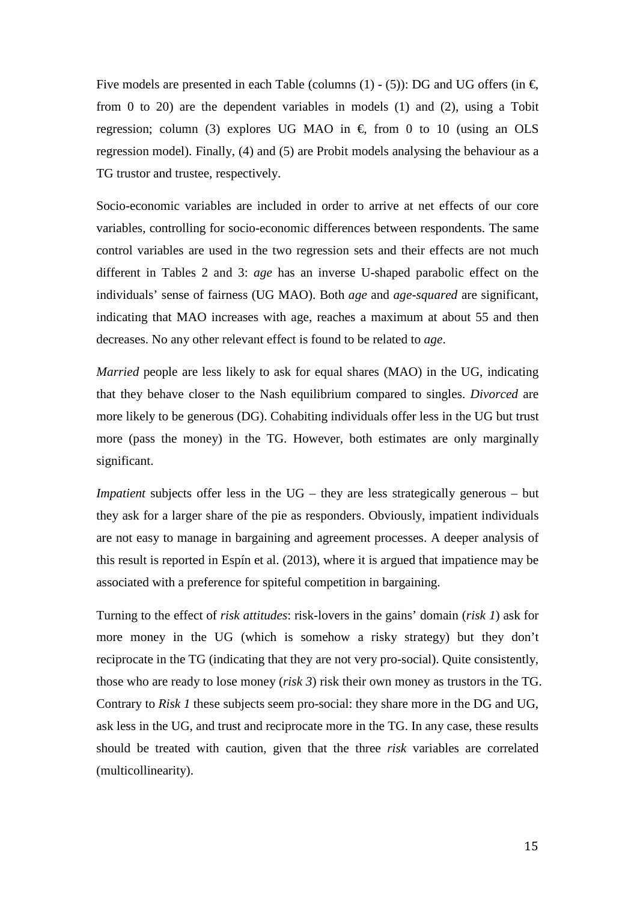Five models are presented in each Table (columns (1) - (5)): DG and UG offers (in  $\epsilon$ , from 0 to 20) are the dependent variables in models (1) and (2), using a Tobit regression; column (3) explores UG MAO in  $\epsilon$  from 0 to 10 (using an OLS regression model). Finally, (4) and (5) are Probit models analysing the behaviour as a TG trustor and trustee, respectively.

Socio-economic variables are included in order to arrive at net effects of our core variables, controlling for socio-economic differences between respondents. The same control variables are used in the two regression sets and their effects are not much different in Tables 2 and 3: *age* has an inverse U-shaped parabolic effect on the individuals' sense of fairness (UG MAO). Both *age* and *age-squared* are significant, indicating that MAO increases with age, reaches a maximum at about 55 and then decreases. No any other relevant effect is found to be related to *age*.

*Married* people are less likely to ask for equal shares (MAO) in the UG, indicating that they behave closer to the Nash equilibrium compared to singles. *Divorced* are more likely to be generous (DG). Cohabiting individuals offer less in the UG but trust more (pass the money) in the TG. However, both estimates are only marginally significant.

*Impatient* subjects offer less in the UG – they are less strategically generous – but they ask for a larger share of the pie as responders. Obviously, impatient individuals are not easy to manage in bargaining and agreement processes. A deeper analysis of this result is reported in Espín et al. (2013), where it is argued that impatience may be associated with a preference for spiteful competition in bargaining.

Turning to the effect of *risk attitudes*: risk-lovers in the gains' domain (*risk 1*) ask for more money in the UG (which is somehow a risky strategy) but they don't reciprocate in the TG (indicating that they are not very pro-social). Quite consistently, those who are ready to lose money (*risk 3*) risk their own money as trustors in the TG. Contrary to *Risk 1* these subjects seem pro-social: they share more in the DG and UG, ask less in the UG, and trust and reciprocate more in the TG. In any case, these results should be treated with caution, given that the three *risk* variables are correlated (multicollinearity).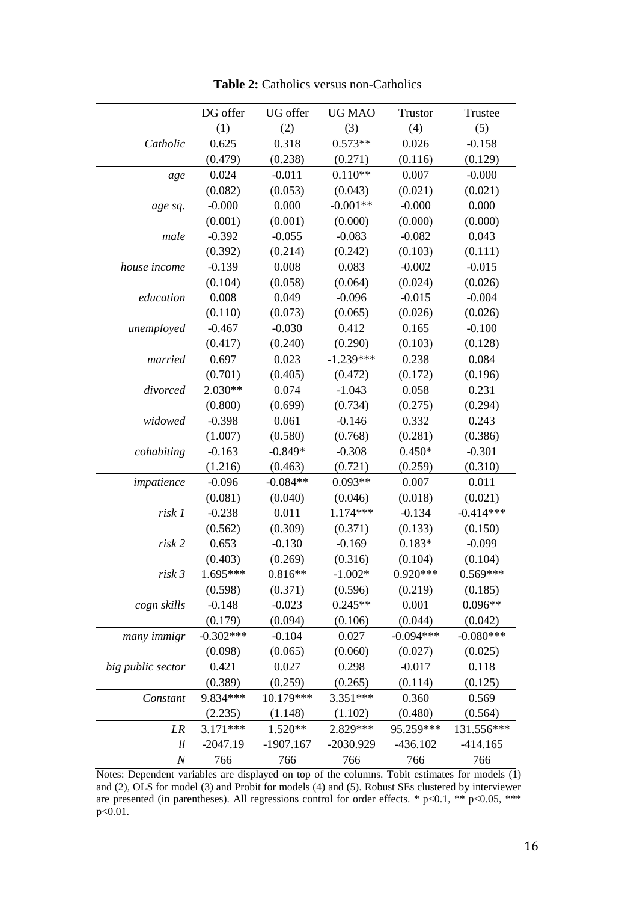|                   | DG offer    | UG offer    | <b>UG MAO</b> | Trustor     | Trustee     |
|-------------------|-------------|-------------|---------------|-------------|-------------|
|                   | (1)         | (2)         | (3)           | (4)         | (5)         |
| Catholic          | 0.625       | 0.318       | $0.573**$     | 0.026       | $-0.158$    |
|                   | (0.479)     | (0.238)     | (0.271)       | (0.116)     | (0.129)     |
| age               | 0.024       | $-0.011$    | $0.110**$     | 0.007       | $-0.000$    |
|                   | (0.082)     | (0.053)     | (0.043)       | (0.021)     | (0.021)     |
| age sq.           | $-0.000$    | 0.000       | $-0.001**$    | $-0.000$    | 0.000       |
|                   | (0.001)     | (0.001)     | (0.000)       | (0.000)     | (0.000)     |
| male              | $-0.392$    | $-0.055$    | $-0.083$      | $-0.082$    | 0.043       |
|                   | (0.392)     | (0.214)     | (0.242)       | (0.103)     | (0.111)     |
| house income      | $-0.139$    | 0.008       | 0.083         | $-0.002$    | $-0.015$    |
|                   | (0.104)     | (0.058)     | (0.064)       | (0.024)     | (0.026)     |
| education         | 0.008       | 0.049       | $-0.096$      | $-0.015$    | $-0.004$    |
|                   | (0.110)     | (0.073)     | (0.065)       | (0.026)     | (0.026)     |
| unemployed        | $-0.467$    | $-0.030$    | 0.412         | 0.165       | $-0.100$    |
|                   | (0.417)     | (0.240)     | (0.290)       | (0.103)     | (0.128)     |
| married           | 0.697       | 0.023       | $-1.239***$   | 0.238       | 0.084       |
|                   | (0.701)     | (0.405)     | (0.472)       | (0.172)     | (0.196)     |
| divorced          | $2.030**$   | 0.074       | $-1.043$      | 0.058       | 0.231       |
|                   | (0.800)     | (0.699)     | (0.734)       | (0.275)     | (0.294)     |
| widowed           | $-0.398$    | 0.061       | $-0.146$      | 0.332       | 0.243       |
|                   | (1.007)     | (0.580)     | (0.768)       | (0.281)     | (0.386)     |
| cohabiting        | $-0.163$    | $-0.849*$   | $-0.308$      | $0.450*$    | $-0.301$    |
|                   | (1.216)     | (0.463)     | (0.721)       | (0.259)     | (0.310)     |
| impatience        | $-0.096$    | $-0.084**$  | $0.093**$     | 0.007       | 0.011       |
|                   | (0.081)     | (0.040)     | (0.046)       | (0.018)     | (0.021)     |
| risk 1            | $-0.238$    | 0.011       | 1.174***      | $-0.134$    | $-0.414***$ |
|                   | (0.562)     | (0.309)     | (0.371)       | (0.133)     | (0.150)     |
| risk 2            | 0.653       | $-0.130$    | $-0.169$      | $0.183*$    | $-0.099$    |
|                   | (0.403)     | (0.269)     | (0.316)       | (0.104)     | (0.104)     |
| risk 3            | $1.695***$  | $0.816**$   | $-1.002*$     | $0.920***$  | $0.569***$  |
|                   | (0.598)     | (0.371)     | (0.596)       | (0.219)     | (0.185)     |
| cogn skills       | $-0.148$    | $-0.023$    | $0.245**$     | 0.001       | $0.096**$   |
|                   | (0.179)     | (0.094)     | (0.106)       | (0.044)     | (0.042)     |
| many immigr       | $-0.302***$ | $-0.104$    | 0.027         | $-0.094***$ | $-0.080***$ |
|                   | (0.098)     | (0.065)     | (0.060)       | (0.027)     | (0.025)     |
| big public sector | 0.421       | 0.027       | 0.298         | $-0.017$    | 0.118       |
|                   | (0.389)     | (0.259)     | (0.265)       | (0.114)     | (0.125)     |
| Constant          | 9.834***    | 10.179***   | 3.351***      | 0.360       | 0.569       |
|                   | (2.235)     | (1.148)     | (1.102)       | (0.480)     | (0.564)     |
| LR                | $3.171***$  | 1.520**     | 2.829***      | 95.259***   | 131.556***  |
| ll                | $-2047.19$  | $-1907.167$ | -2030.929     | $-436.102$  | $-414.165$  |
| $\cal N$          | 766         | 766         | 766           | 766         | 766         |

**Table 2:** Catholics versus non-Catholics

Notes: Dependent variables are displayed on top of the columns. Tobit estimates for models (1) and (2), OLS for model (3) and Probit for models (4) and (5). Robust SEs clustered by interviewer are presented (in parentheses). All regressions control for order effects.  $*$  p<0.1,  $**$  p<0.05,  $***$ p<0.01.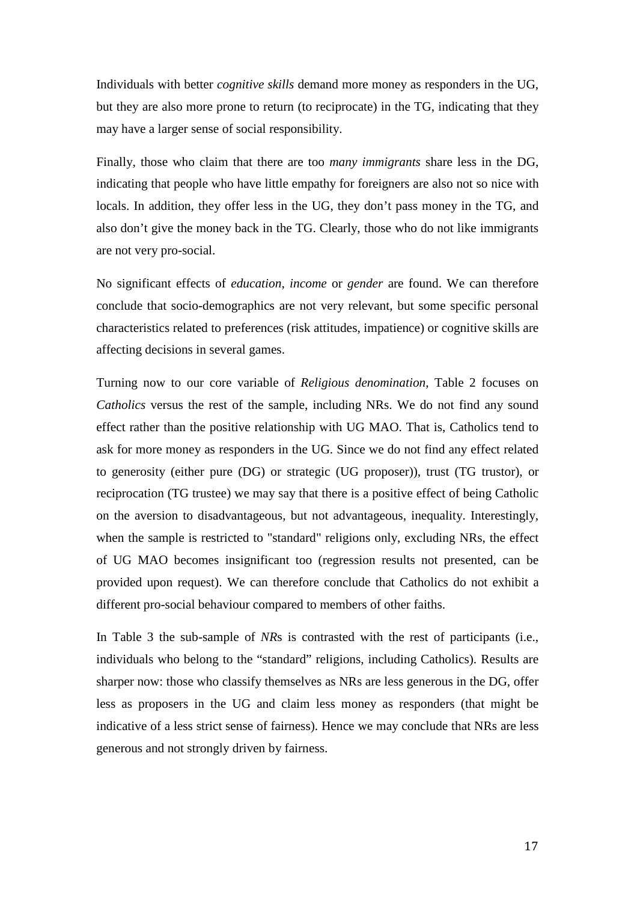Individuals with better *cognitive skills* demand more money as responders in the UG, but they are also more prone to return (to reciprocate) in the TG, indicating that they may have a larger sense of social responsibility.

Finally, those who claim that there are too *many immigrants* share less in the DG, indicating that people who have little empathy for foreigners are also not so nice with locals. In addition, they offer less in the UG, they don't pass money in the TG, and also don't give the money back in the TG. Clearly, those who do not like immigrants are not very pro-social.

No significant effects of *education*, *income* or *gender* are found. We can therefore conclude that socio-demographics are not very relevant, but some specific personal characteristics related to preferences (risk attitudes, impatience) or cognitive skills are affecting decisions in several games.

Turning now to our core variable of *Religious denomination*, Table 2 focuses on *Catholics* versus the rest of the sample, including NRs. We do not find any sound effect rather than the positive relationship with UG MAO. That is, Catholics tend to ask for more money as responders in the UG. Since we do not find any effect related to generosity (either pure (DG) or strategic (UG proposer)), trust (TG trustor), or reciprocation (TG trustee) we may say that there is a positive effect of being Catholic on the aversion to disadvantageous, but not advantageous, inequality. Interestingly, when the sample is restricted to "standard" religions only, excluding NRs, the effect of UG MAO becomes insignificant too (regression results not presented, can be provided upon request). We can therefore conclude that Catholics do not exhibit a different pro-social behaviour compared to members of other faiths.

In Table 3 the sub-sample of *NR*s is contrasted with the rest of participants (i.e., individuals who belong to the "standard" religions, including Catholics). Results are sharper now: those who classify themselves as NRs are less generous in the DG, offer less as proposers in the UG and claim less money as responders (that might be indicative of a less strict sense of fairness). Hence we may conclude that NRs are less generous and not strongly driven by fairness.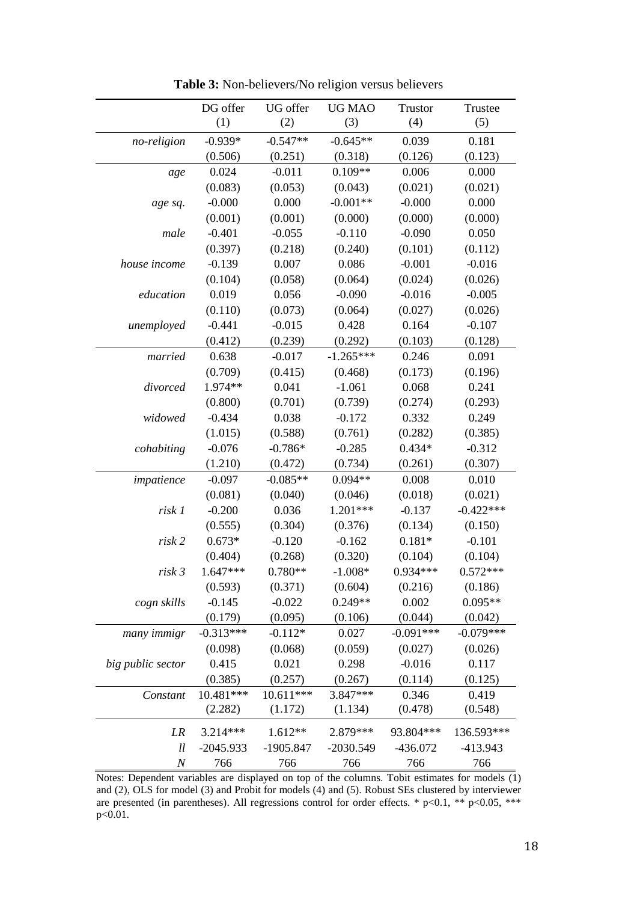|                   | DG offer    | UG offer    | <b>UG MAO</b> | Trustor     | Trustee     |
|-------------------|-------------|-------------|---------------|-------------|-------------|
|                   | (1)         | (2)         | (3)           | (4)         | (5)         |
| no-religion       | $-0.939*$   | $-0.547**$  | $-0.645**$    | 0.039       | 0.181       |
|                   | (0.506)     | (0.251)     | (0.318)       | (0.126)     | (0.123)     |
| age               | 0.024       | $-0.011$    | $0.109**$     | 0.006       | 0.000       |
|                   | (0.083)     | (0.053)     | (0.043)       | (0.021)     | (0.021)     |
| age sq.           | $-0.000$    | 0.000       | $-0.001**$    | $-0.000$    | 0.000       |
|                   | (0.001)     | (0.001)     | (0.000)       | (0.000)     | (0.000)     |
| male              | $-0.401$    | $-0.055$    | $-0.110$      | $-0.090$    | 0.050       |
|                   | (0.397)     | (0.218)     | (0.240)       | (0.101)     | (0.112)     |
| house income      | $-0.139$    | 0.007       | 0.086         | $-0.001$    | $-0.016$    |
|                   | (0.104)     | (0.058)     | (0.064)       | (0.024)     | (0.026)     |
| education         | 0.019       | 0.056       | $-0.090$      | $-0.016$    | $-0.005$    |
|                   | (0.110)     | (0.073)     | (0.064)       | (0.027)     | (0.026)     |
| unemployed        | $-0.441$    | $-0.015$    | 0.428         | 0.164       | $-0.107$    |
|                   | (0.412)     | (0.239)     | (0.292)       | (0.103)     | (0.128)     |
| married           | 0.638       | $-0.017$    | $-1.265***$   | 0.246       | 0.091       |
|                   | (0.709)     | (0.415)     | (0.468)       | (0.173)     | (0.196)     |
| divorced          | 1.974**     | 0.041       | $-1.061$      | 0.068       | 0.241       |
|                   | (0.800)     | (0.701)     | (0.739)       | (0.274)     | (0.293)     |
| widowed           | $-0.434$    | 0.038       | $-0.172$      | 0.332       | 0.249       |
|                   | (1.015)     | (0.588)     | (0.761)       | (0.282)     | (0.385)     |
| cohabiting        | $-0.076$    | $-0.786*$   | $-0.285$      | $0.434*$    | $-0.312$    |
|                   | (1.210)     | (0.472)     | (0.734)       | (0.261)     | (0.307)     |
| impatience        | $-0.097$    | $-0.085**$  | $0.094**$     | 0.008       | 0.010       |
|                   | (0.081)     | (0.040)     | (0.046)       | (0.018)     | (0.021)     |
| risk 1            | $-0.200$    | 0.036       | $1.201***$    | $-0.137$    | $-0.422***$ |
|                   | (0.555)     | (0.304)     | (0.376)       | (0.134)     | (0.150)     |
| risk 2            | $0.673*$    | $-0.120$    | $-0.162$      | $0.181*$    | $-0.101$    |
|                   | (0.404)     | (0.268)     | (0.320)       | (0.104)     | (0.104)     |
| risk 3            | $1.647***$  | $0.780**$   | $-1.008*$     | $0.934***$  | $0.572***$  |
|                   | (0.593)     | (0.371)     | (0.604)       | (0.216)     | (0.186)     |
| cogn skills       | $-0.145$    | $-0.022$    | $0.249**$     | 0.002       | $0.095**$   |
|                   | (0.179)     | (0.095)     | (0.106)       | (0.044)     | (0.042)     |
| many immigr       | $-0.313***$ | $-0.112*$   | 0.027         | $-0.091***$ | $-0.079***$ |
|                   | (0.098)     | (0.068)     | (0.059)       | (0.027)     | (0.026)     |
| big public sector | 0.415       | 0.021       | 0.298         | $-0.016$    | 0.117       |
|                   | (0.385)     | (0.257)     | (0.267)       | (0.114)     | (0.125)     |
| Constant          | 10.481***   | 10.611***   | 3.847***      | 0.346       | 0.419       |
|                   | (2.282)     | (1.172)     | (1.134)       | (0.478)     | (0.548)     |
| LR                | 3.214***    | 1.612**     | 2.879***      | 93.804***   | 136.593***  |
| ll                | $-2045.933$ | $-1905.847$ | $-2030.549$   | $-436.072$  | $-413.943$  |
| $\cal N$          | 766         | 766         | 766           | 766         | 766         |

**Table 3:** Non-believers/No religion versus believers

Notes: Dependent variables are displayed on top of the columns. Tobit estimates for models  $(1)$ and (2), OLS for model (3) and Probit for models (4) and (5). Robust SEs clustered by interviewer are presented (in parentheses). All regressions control for order effects. \*  $p<0.1$ , \*\*  $p<0.05$ , \*\*\* p<0.01.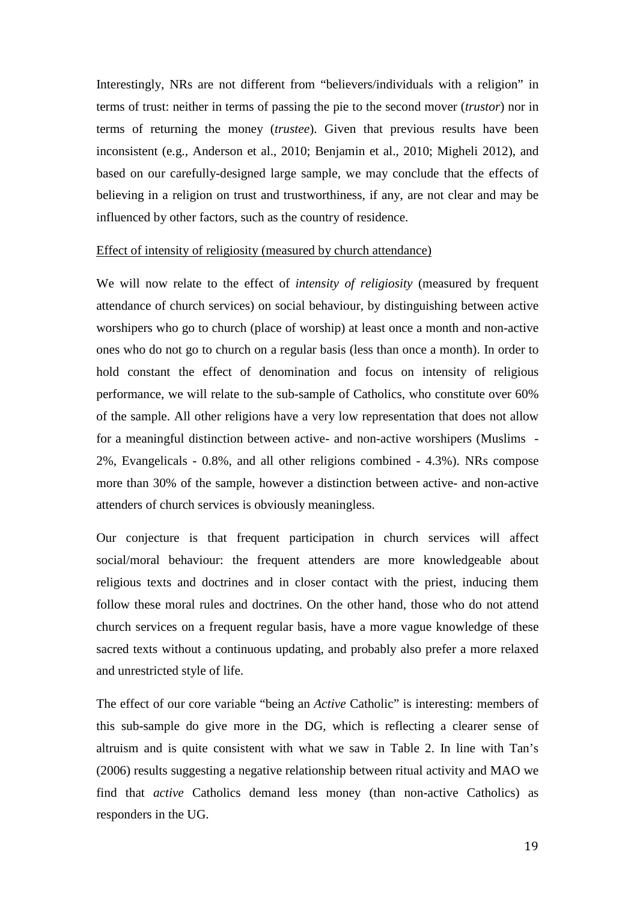Interestingly, NRs are not different from "believers/individuals with a religion" in terms of trust: neither in terms of passing the pie to the second mover (*trustor*) nor in terms of returning the money (*trustee*). Given that previous results have been inconsistent (e.g., Anderson et al., 2010; Benjamin et al., 2010; Migheli 2012), and based on our carefully-designed large sample, we may conclude that the effects of believing in a religion on trust and trustworthiness, if any, are not clear and may be influenced by other factors, such as the country of residence.

#### Effect of intensity of religiosity (measured by church attendance)

We will now relate to the effect of *intensity of religiosity* (measured by frequent attendance of church services) on social behaviour, by distinguishing between active worshipers who go to church (place of worship) at least once a month and non-active ones who do not go to church on a regular basis (less than once a month). In order to hold constant the effect of denomination and focus on intensity of religious performance, we will relate to the sub-sample of Catholics, who constitute over 60% of the sample. All other religions have a very low representation that does not allow for a meaningful distinction between active- and non-active worshipers (Muslims - 2%, Evangelicals - 0.8%, and all other religions combined - 4.3%). NRs compose more than 30% of the sample, however a distinction between active- and non-active attenders of church services is obviously meaningless.

Our conjecture is that frequent participation in church services will affect social/moral behaviour: the frequent attenders are more knowledgeable about religious texts and doctrines and in closer contact with the priest, inducing them follow these moral rules and doctrines. On the other hand, those who do not attend church services on a frequent regular basis, have a more vague knowledge of these sacred texts without a continuous updating, and probably also prefer a more relaxed and unrestricted style of life.

The effect of our core variable "being an *Active* Catholic" is interesting: members of this sub-sample do give more in the DG, which is reflecting a clearer sense of altruism and is quite consistent with what we saw in Table 2. In line with Tan's (2006) results suggesting a negative relationship between ritual activity and MAO we find that *active* Catholics demand less money (than non-active Catholics) as responders in the UG.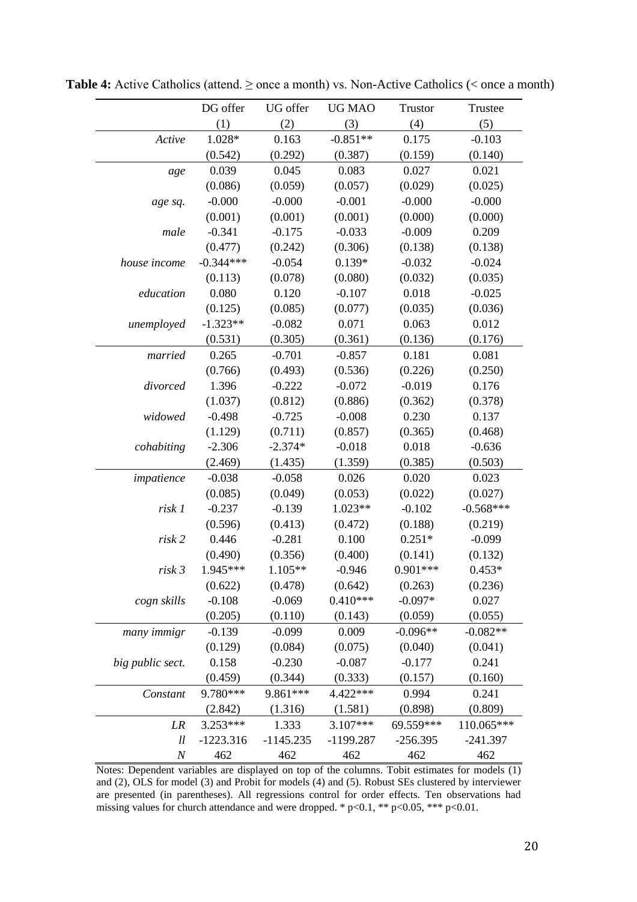|                  | DG offer    | UG offer    | UG MAO      | Trustor    | Trustee     |
|------------------|-------------|-------------|-------------|------------|-------------|
|                  | (1)         | (2)         | (3)         | (4)        | (5)         |
| Active           | 1.028*      | 0.163       | $-0.851**$  | 0.175      | $-0.103$    |
|                  | (0.542)     | (0.292)     | (0.387)     | (0.159)    | (0.140)     |
| age              | 0.039       | 0.045       | 0.083       | 0.027      | 0.021       |
|                  | (0.086)     | (0.059)     | (0.057)     | (0.029)    | (0.025)     |
| age sq.          | $-0.000$    | $-0.000$    | $-0.001$    | $-0.000$   | $-0.000$    |
|                  | (0.001)     | (0.001)     | (0.001)     | (0.000)    | (0.000)     |
| male             | $-0.341$    | $-0.175$    | $-0.033$    | $-0.009$   | 0.209       |
|                  | (0.477)     | (0.242)     | (0.306)     | (0.138)    | (0.138)     |
| house income     | $-0.344***$ | $-0.054$    | $0.139*$    | $-0.032$   | $-0.024$    |
|                  | (0.113)     | (0.078)     | (0.080)     | (0.032)    | (0.035)     |
| education        | 0.080       | 0.120       | $-0.107$    | 0.018      | $-0.025$    |
|                  | (0.125)     | (0.085)     | (0.077)     | (0.035)    | (0.036)     |
| unemployed       | $-1.323**$  | $-0.082$    | 0.071       | 0.063      | 0.012       |
|                  | (0.531)     | (0.305)     | (0.361)     | (0.136)    | (0.176)     |
| married          | 0.265       | $-0.701$    | $-0.857$    | 0.181      | 0.081       |
|                  | (0.766)     | (0.493)     | (0.536)     | (0.226)    | (0.250)     |
| divorced         | 1.396       | $-0.222$    | $-0.072$    | $-0.019$   | 0.176       |
|                  | (1.037)     | (0.812)     | (0.886)     | (0.362)    | (0.378)     |
| widowed          | $-0.498$    | $-0.725$    | $-0.008$    | 0.230      | 0.137       |
|                  | (1.129)     | (0.711)     | (0.857)     | (0.365)    | (0.468)     |
| cohabiting       | $-2.306$    | $-2.374*$   | $-0.018$    | 0.018      | $-0.636$    |
|                  | (2.469)     | (1.435)     | (1.359)     | (0.385)    | (0.503)     |
| impatience       | $-0.038$    | $-0.058$    | 0.026       | 0.020      | 0.023       |
|                  | (0.085)     | (0.049)     | (0.053)     | (0.022)    | (0.027)     |
| risk 1           | $-0.237$    | $-0.139$    | 1.023**     | $-0.102$   | $-0.568***$ |
|                  | (0.596)     | (0.413)     | (0.472)     | (0.188)    | (0.219)     |
| risk 2           | 0.446       | $-0.281$    | 0.100       | $0.251*$   | $-0.099$    |
|                  | (0.490)     | (0.356)     | (0.400)     | (0.141)    | (0.132)     |
| risk 3           | 1.945***    | $1.105**$   | $-0.946$    | $0.901***$ | $0.453*$    |
|                  | (0.622)     | (0.478)     | (0.642)     | (0.263)    | (0.236)     |
| cogn skills      | $-0.108$    | $-0.069$    | $0.410***$  | $-0.097*$  | 0.027       |
|                  | (0.205)     | (0.110)     | (0.143)     | (0.059)    | (0.055)     |
| many immigr      | $-0.139$    | $-0.099$    | 0.009       | $-0.096**$ | $-0.082**$  |
|                  | (0.129)     | (0.084)     | (0.075)     | (0.040)    | (0.041)     |
| big public sect. | 0.158       | $-0.230$    | $-0.087$    | $-0.177$   | 0.241       |
|                  | (0.459)     | (0.344)     | (0.333)     | (0.157)    | (0.160)     |
| Constant         | 9.780***    | 9.861***    | 4.422***    | 0.994      | 0.241       |
|                  | (2.842)     | (1.316)     | (1.581)     | (0.898)    | (0.809)     |
| LR               | 3.253***    | 1.333       | 3.107***    | 69.559***  | 110.065***  |
| ll               | $-1223.316$ | $-1145.235$ | $-1199.287$ | $-256.395$ | $-241.397$  |
| $\cal N$         | 462         | 462         | 462         | 462        | 462         |

**Table 4:** Active Catholics (attend. ≥ once a month) vs. Non-Active Catholics (< once a month)

Notes: Dependent variables are displayed on top of the columns. Tobit estimates for models (1) and (2), OLS for model (3) and Probit for models (4) and (5). Robust SEs clustered by interviewer are presented (in parentheses). All regressions control for order effects. Ten observations had missing values for church attendance and were dropped. \* p<0.1, \*\* p<0.05, \*\*\* p<0.01.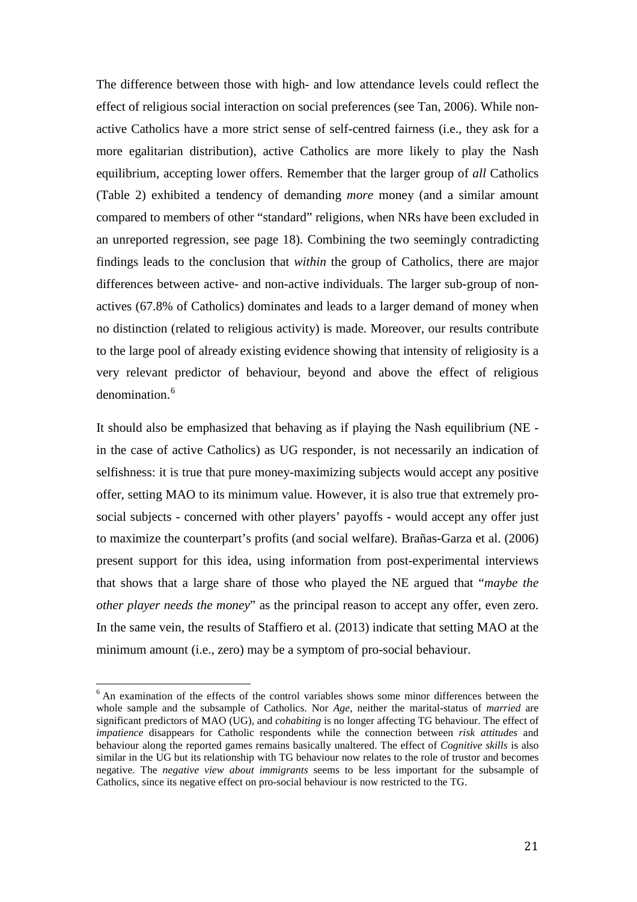The difference between those with high- and low attendance levels could reflect the effect of religious social interaction on social preferences (see Tan, 2006). While nonactive Catholics have a more strict sense of self-centred fairness (i.e., they ask for a more egalitarian distribution), active Catholics are more likely to play the Nash equilibrium, accepting lower offers. Remember that the larger group of *all* Catholics (Table 2) exhibited a tendency of demanding *more* money (and a similar amount compared to members of other "standard" religions, when NRs have been excluded in an unreported regression, see page 18). Combining the two seemingly contradicting findings leads to the conclusion that *within* the group of Catholics, there are major differences between active- and non-active individuals. The larger sub-group of nonactives (67.8% of Catholics) dominates and leads to a larger demand of money when no distinction (related to religious activity) is made. Moreover, our results contribute to the large pool of already existing evidence showing that intensity of religiosity is a very relevant predictor of behaviour, beyond and above the effect of religious denomination.<sup>[6](#page-8-0)</sup>

It should also be emphasized that behaving as if playing the Nash equilibrium (NE in the case of active Catholics) as UG responder, is not necessarily an indication of selfishness: it is true that pure money-maximizing subjects would accept any positive offer, setting MAO to its minimum value. However, it is also true that extremely prosocial subjects - concerned with other players' payoffs - would accept any offer just to maximize the counterpart's profits (and social welfare). Brañas-Garza et al. (2006) present support for this idea, using information from post-experimental interviews that shows that a large share of those who played the NE argued that "*maybe the other player needs the money*" as the principal reason to accept any offer, even zero. In the same vein, the results of Staffiero et al. (2013) indicate that setting MAO at the minimum amount (i.e., zero) may be a symptom of pro-social behaviour.

<span id="page-22-0"></span><sup>&</sup>lt;sup>6</sup> An examination of the effects of the control variables shows some minor differences between the whole sample and the subsample of Catholics. Nor *Age,* neither the marital-status of *married* are significant predictors of MAO (UG), and *cohabiting* is no longer affecting TG behaviour. The effect of *impatience* disappears for Catholic respondents while the connection between *risk attitudes* and behaviour along the reported games remains basically unaltered. The effect of *Cognitive skills* is also similar in the UG but its relationship with TG behaviour now relates to the role of trustor and becomes negative. The *negative view about immigrants* seems to be less important for the subsample of Catholics, since its negative effect on pro-social behaviour is now restricted to the TG.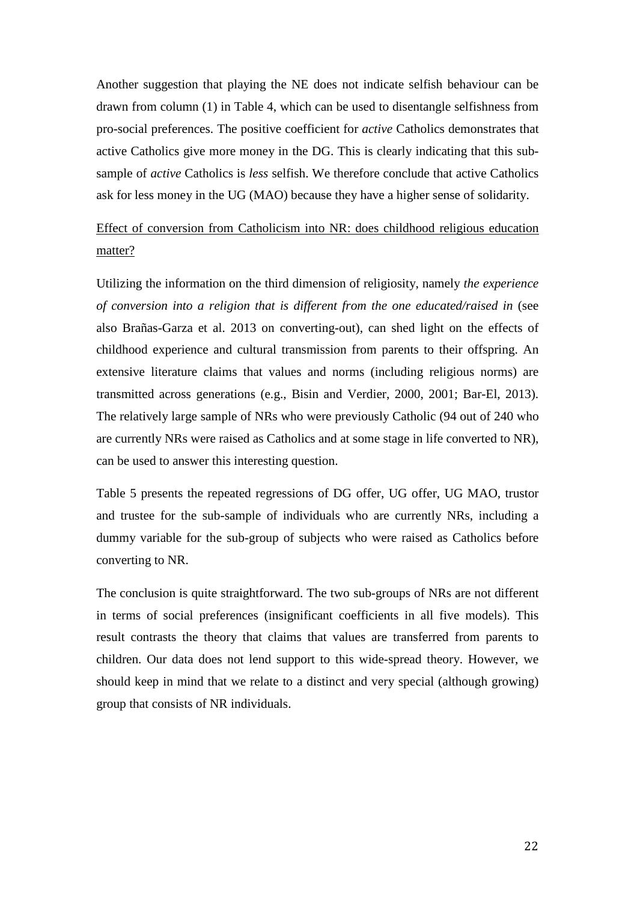Another suggestion that playing the NE does not indicate selfish behaviour can be drawn from column (1) in Table 4, which can be used to disentangle selfishness from pro-social preferences. The positive coefficient for *active* Catholics demonstrates that active Catholics give more money in the DG. This is clearly indicating that this subsample of *active* Catholics is *less* selfish. We therefore conclude that active Catholics ask for less money in the UG (MAO) because they have a higher sense of solidarity.

Effect of conversion from Catholicism into NR: does childhood religious education matter?

Utilizing the information on the third dimension of religiosity, namely *the experience of conversion into a religion that is different from the one educated/raised in* (see also Brañas-Garza et al. 2013 on converting-out), can shed light on the effects of childhood experience and cultural transmission from parents to their offspring. An extensive literature claims that values and norms (including religious norms) are transmitted across generations (e.g., Bisin and Verdier, 2000, 2001; Bar-El, 2013). The relatively large sample of NRs who were previously Catholic (94 out of 240 who are currently NRs were raised as Catholics and at some stage in life converted to NR), can be used to answer this interesting question.

Table 5 presents the repeated regressions of DG offer, UG offer, UG MAO, trustor and trustee for the sub-sample of individuals who are currently NRs, including a dummy variable for the sub-group of subjects who were raised as Catholics before converting to NR.

The conclusion is quite straightforward. The two sub-groups of NRs are not different in terms of social preferences (insignificant coefficients in all five models). This result contrasts the theory that claims that values are transferred from parents to children. Our data does not lend support to this wide-spread theory. However, we should keep in mind that we relate to a distinct and very special (although growing) group that consists of NR individuals.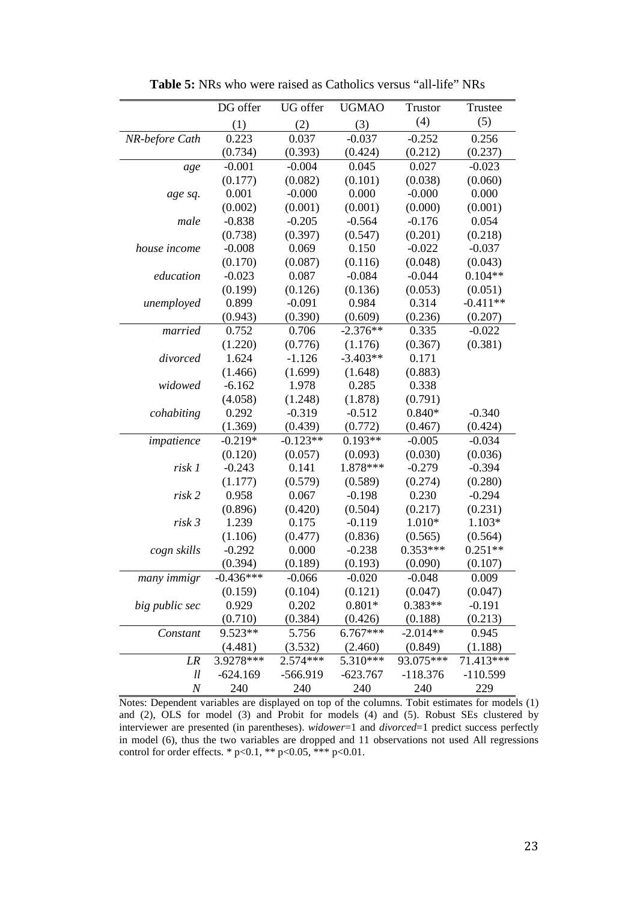|                | DG offer    | UG offer   | <b>UGMAO</b> | <b>Trustor</b> | Trustee    |
|----------------|-------------|------------|--------------|----------------|------------|
|                | (1)         | (2)        | (3)          | (4)            | (5)        |
| NR-before Cath | 0.223       | 0.037      | $-0.037$     | $-0.252$       | 0.256      |
|                | (0.734)     | (0.393)    | (0.424)      | (0.212)        | (0.237)    |
| age            | $-0.001$    | $-0.004$   | 0.045        | 0.027          | $-0.023$   |
|                | (0.177)     | (0.082)    | (0.101)      | (0.038)        | (0.060)    |
| age sq.        | 0.001       | $-0.000$   | 0.000        | $-0.000$       | 0.000      |
|                | (0.002)     | (0.001)    | (0.001)      | (0.000)        | (0.001)    |
| male           | $-0.838$    | $-0.205$   | $-0.564$     | $-0.176$       | 0.054      |
|                | (0.738)     | (0.397)    | (0.547)      | (0.201)        | (0.218)    |
| house income   | $-0.008$    | 0.069      | 0.150        | $-0.022$       | $-0.037$   |
|                | (0.170)     | (0.087)    | (0.116)      | (0.048)        | (0.043)    |
| education      | $-0.023$    | 0.087      | $-0.084$     | $-0.044$       | $0.104**$  |
|                | (0.199)     | (0.126)    | (0.136)      | (0.053)        | (0.051)    |
| unemployed     | 0.899       | $-0.091$   | 0.984        | 0.314          | $-0.411**$ |
|                | (0.943)     | (0.390)    | (0.609)      | (0.236)        | (0.207)    |
| married        | 0.752       | 0.706      | $-2.376**$   | 0.335          | $-0.022$   |
|                | (1.220)     | (0.776)    | (1.176)      | (0.367)        | (0.381)    |
| divorced       | 1.624       | $-1.126$   | $-3.403**$   | 0.171          |            |
|                | (1.466)     | (1.699)    | (1.648)      | (0.883)        |            |
| widowed        | $-6.162$    | 1.978      | 0.285        | 0.338          |            |
|                | (4.058)     | (1.248)    | (1.878)      | (0.791)        |            |
| cohabiting     | 0.292       | $-0.319$   | $-0.512$     | $0.840*$       | $-0.340$   |
|                | (1.369)     | (0.439)    | (0.772)      | (0.467)        | (0.424)    |
| impatience     | $-0.219*$   | $-0.123**$ | $0.193**$    | $-0.005$       | $-0.034$   |
|                | (0.120)     | (0.057)    | (0.093)      | (0.030)        | (0.036)    |
| risk 1         | $-0.243$    | 0.141      | 1.878***     | $-0.279$       | $-0.394$   |
|                | (1.177)     | (0.579)    | (0.589)      | (0.274)        | (0.280)    |
| risk 2         | 0.958       | 0.067      | $-0.198$     | 0.230          | $-0.294$   |
|                | (0.896)     | (0.420)    | (0.504)      | (0.217)        | (0.231)    |
| risk 3         | 1.239       | 0.175      | $-0.119$     | 1.010*         | $1.103*$   |
|                | (1.106)     | (0.477)    | (0.836)      | (0.565)        | (0.564)    |
| cogn skills    | $-0.292$    | 0.000      | $-0.238$     | $0.353***$     | $0.251**$  |
|                | (0.394)     | (0.189)    | (0.193)      | (0.090)        | (0.107)    |
| many immigr    | $-0.436***$ | $-0.066$   | $-0.020$     | $-0.048$       | 0.009      |
|                | (0.159)     | (0.104)    | (0.121)      | (0.047)        | (0.047)    |
| big public sec | 0.929       | 0.202      | $0.801*$     | $0.383**$      | $-0.191$   |
|                | (0.710)     | (0.384)    | (0.426)      | (0.188)        | (0.213)    |
| Constant       | 9.523**     | 5.756      | $6.767***$   | $-2.014**$     | 0.945      |
|                | (4.481)     | (3.532)    | (2.460)      | (0.849)        | (1.188)    |
| LR             | 3.9278***   | 2.574***   | 5.310***     | 93.075***      | 71.413***  |
| ll             | $-624.169$  | -566.919   | $-623.767$   | $-118.376$     | $-110.599$ |
| $\cal N$       | 240         | 240        | 240          | 240            | 229        |

**Table 5:** NRs who were raised as Catholics versus "all-life" NRs

Notes: Dependent variables are displayed on top of the columns. Tobit estimates for models (1) and (2), OLS for model (3) and Probit for models (4) and (5). Robust SEs clustered by interviewer are presented (in parentheses). *widower*=1 and *divorced*=1 predict success perfectly in model (6), thus the two variables are dropped and 11 observations not used All regressions control for order effects. \*  $p<0.1$ , \*\*  $p<0.05$ , \*\*\*  $p<0.01$ .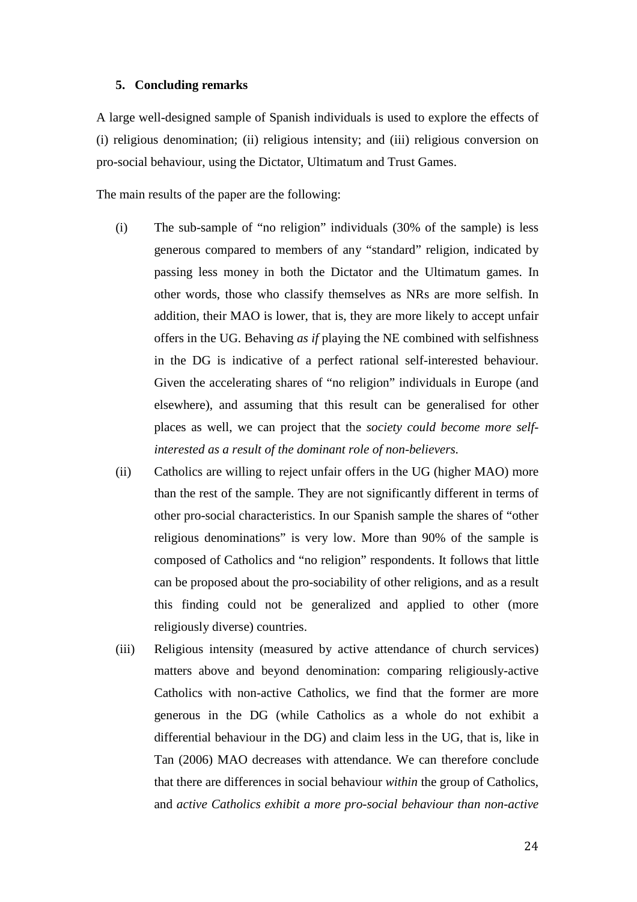#### **5. Concluding remarks**

A large well-designed sample of Spanish individuals is used to explore the effects of (i) religious denomination; (ii) religious intensity; and (iii) religious conversion on pro-social behaviour, using the Dictator, Ultimatum and Trust Games.

The main results of the paper are the following:

- (i) The sub-sample of "no religion" individuals (30% of the sample) is less generous compared to members of any "standard" religion, indicated by passing less money in both the Dictator and the Ultimatum games. In other words, those who classify themselves as NRs are more selfish. In addition, their MAO is lower, that is, they are more likely to accept unfair offers in the UG. Behaving *as if* playing the NE combined with selfishness in the DG is indicative of a perfect rational self-interested behaviour. Given the accelerating shares of "no religion" individuals in Europe (and elsewhere), and assuming that this result can be generalised for other places as well, we can project that the *society could become more selfinterested as a result of the dominant role of non-believers.*
- (ii) Catholics are willing to reject unfair offers in the UG (higher MAO) more than the rest of the sample. They are not significantly different in terms of other pro-social characteristics. In our Spanish sample the shares of "other religious denominations" is very low. More than 90% of the sample is composed of Catholics and "no religion" respondents. It follows that little can be proposed about the pro-sociability of other religions, and as a result this finding could not be generalized and applied to other (more religiously diverse) countries.
- (iii) Religious intensity (measured by active attendance of church services) matters above and beyond denomination: comparing religiously-active Catholics with non-active Catholics, we find that the former are more generous in the DG (while Catholics as a whole do not exhibit a differential behaviour in the DG) and claim less in the UG, that is, like in Tan (2006) MAO decreases with attendance. We can therefore conclude that there are differences in social behaviour *within* the group of Catholics, and *active Catholics exhibit a more pro-social behaviour than non-active*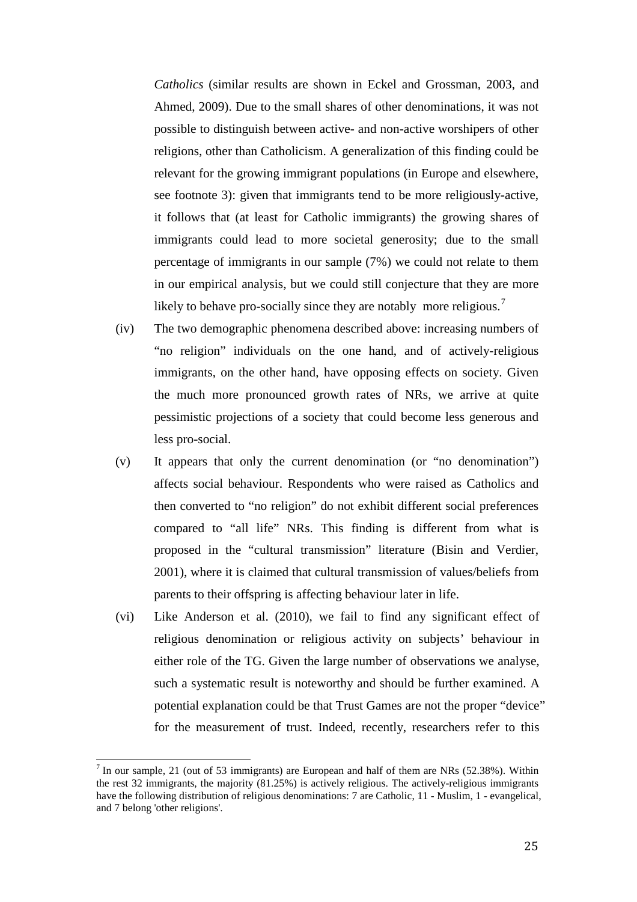*Catholics* (similar results are shown in Eckel and Grossman, 2003, and Ahmed, 2009). Due to the small shares of other denominations, it was not possible to distinguish between active- and non-active worshipers of other religions, other than Catholicism. A generalization of this finding could be relevant for the growing immigrant populations (in Europe and elsewhere, see footnote 3): given that immigrants tend to be more religiously-active, it follows that (at least for Catholic immigrants) the growing shares of immigrants could lead to more societal generosity; due to the small percentage of immigrants in our sample (7%) we could not relate to them in our empirical analysis, but we could still conjecture that they are more likely to behave pro-socially since they are notably more religious.<sup>[7](#page-22-0)</sup>

- (iv) The two demographic phenomena described above: increasing numbers of "no religion" individuals on the one hand, and of actively-religious immigrants, on the other hand, have opposing effects on society. Given the much more pronounced growth rates of NRs, we arrive at quite pessimistic projections of a society that could become less generous and less pro-social.
- (v) It appears that only the current denomination (or "no denomination") affects social behaviour. Respondents who were raised as Catholics and then converted to "no religion" do not exhibit different social preferences compared to "all life" NRs. This finding is different from what is proposed in the "cultural transmission" literature (Bisin and Verdier, 2001), where it is claimed that cultural transmission of values/beliefs from parents to their offspring is affecting behaviour later in life.
- (vi) Like Anderson et al. (2010), we fail to find any significant effect of religious denomination or religious activity on subjects' behaviour in either role of the TG. Given the large number of observations we analyse, such a systematic result is noteworthy and should be further examined. A potential explanation could be that Trust Games are not the proper "device" for the measurement of trust. Indeed, recently, researchers refer to this

 $<sup>7</sup>$  In our sample, 21 (out of 53 immigrants) are European and half of them are NRs (52.38%). Within</sup> the rest 32 immigrants, the majority (81.25%) is actively religious. The actively-religious immigrants have the following distribution of religious denominations: 7 are Catholic, 11 - Muslim, 1 - evangelical, and 7 belong 'other religions'.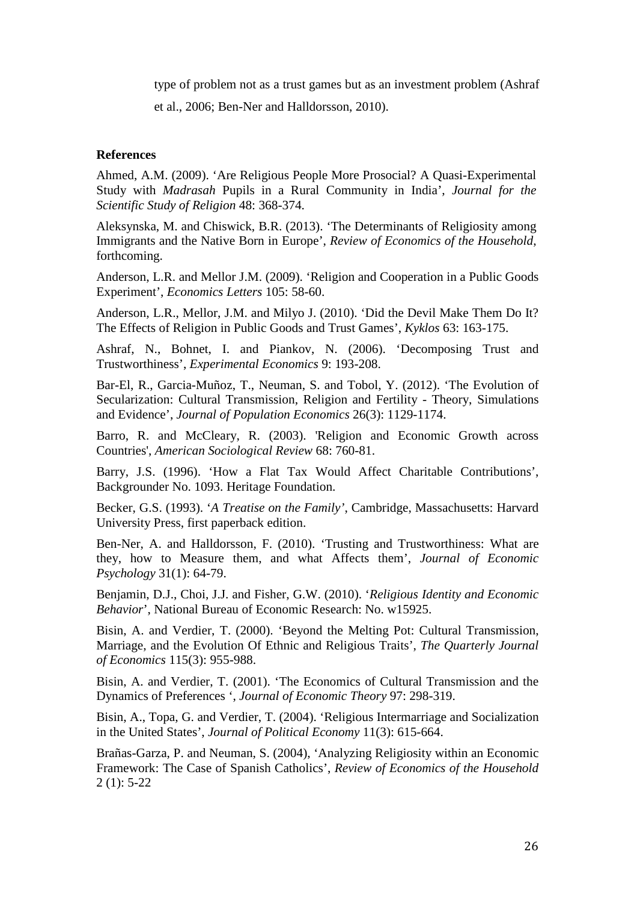type of problem not as a trust games but as an investment problem (Ashraf et al., 2006; Ben-Ner and Halldorsson, 2010).

#### **References**

Ahmed, A.M. (2009). 'Are Religious People More Prosocial? A Quasi-Experimental Study with *Madrasah* Pupils in a Rural Community in India', *Journal for the Scientific Study of Religion* 48: 368-374.

Aleksynska, M. and Chiswick, B.R. (2013). 'The Determinants of Religiosity among Immigrants and the Native Born in Europe', *Review of Economics of the Household*, forthcoming.

Anderson, L.R. and Mellor J.M. (2009). 'Religion and Cooperation in a Public Goods Experiment', *Economics Letters* 105: 58-60.

Anderson, L.R., Mellor, J.M. and Milyo J. (2010). 'Did the Devil Make Them Do It? The Effects of Religion in Public Goods and Trust Games', *Kyklos* 63: 163-175.

Ashraf, N., Bohnet, I. and Piankov, N. (2006). 'Decomposing Trust and Trustworthiness', *Experimental Economics* 9: 193-208.

Bar-El, R., Garcia-Muñoz, T., Neuman, S. and Tobol, Y. (2012). 'The Evolution of Secularization: Cultural Transmission, Religion and Fertility - Theory, Simulations and Evidence', *Journal of Population Economics* 26(3): 1129-1174.

Barro, R. and McCleary, R. (2003). 'Religion and Economic Growth across Countries', *American Sociological Review* 68: 760-81.

Barry, J.S. (1996). 'How a Flat Tax Would Affect Charitable Contributions', Backgrounder No. 1093. Heritage Foundation.

Becker, G.S. (1993). '*A Treatise on the Family'*, Cambridge, Massachusetts: Harvard University Press, first paperback edition.

Ben-Ner, A. and Halldorsson, F. (2010). 'Trusting and Trustworthiness: What are they, how to Measure them, and what Affects them', *Journal of Economic Psychology* 31(1): 64-79.

Benjamin, D.J., Choi, J.J. and Fisher, G.W. (2010). '*Religious Identity and Economic Behavior*', National Bureau of Economic Research: No. w15925.

Bisin, A. and Verdier, T. (2000). 'Beyond the Melting Pot: Cultural Transmission, Marriage, and the Evolution Of Ethnic and Religious Traits', *The Quarterly Journal of Economics* 115(3): 955-988.

Bisin, A. and Verdier, T. (2001). 'The Economics of Cultural Transmission and the Dynamics of Preferences ', *Journal of Economic Theory* 97: 298-319.

Bisin, A., Topa, G. and Verdier, T. (2004). 'Religious Intermarriage and Socialization in the United States', *Journal of Political Economy* 11(3): 615-664.

Brañas-Garza, P. and Neuman, S. (2004), 'Analyzing Religiosity within an Economic Framework: The Case of Spanish Catholics', *Review of Economics of the Household* 2 (1): 5-22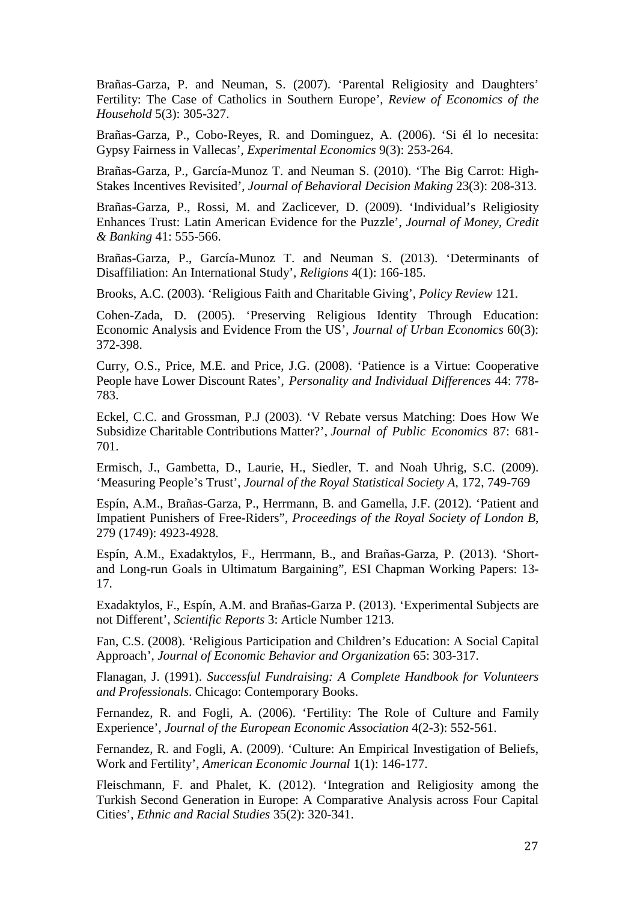Brañas-Garza, P. and Neuman, S. (2007). 'Parental Religiosity and Daughters' Fertility: The Case of Catholics in Southern Europe', *Review of Economics of the Household* 5(3): 305-327.

Brañas-Garza, P., Cobo-Reyes, R. and Dominguez, A. (2006). 'Si él lo necesita: Gypsy Fairness in Vallecas', *Experimental Economics* 9(3): 253-264.

Brañas-Garza, P., García-Munoz T. and Neuman S. (2010). 'The Big Carrot: High-Stakes Incentives Revisited', *Journal of Behavioral Decision Making* 23(3): 208-313.

Brañas-Garza, P., Rossi, M. and Zaclicever, D. (2009). 'Individual's Religiosity Enhances Trust: Latin American Evidence for the Puzzle', *Journal of Money, Credit & Banking* 41: 555-566.

Brañas-Garza, P., García-Munoz T. and Neuman S. (2013). 'Determinants of Disaffiliation: An International Study', *Religions* 4(1): 166-185.

Brooks, A.C. (2003). 'Religious Faith and Charitable Giving', *Policy Review* 121.

Cohen-Zada, D. (2005). 'Preserving Religious Identity Through Education: Economic Analysis and Evidence From the US', *Journal of Urban Economics* 60(3): 372-398.

Curry, O.S., Price, M.E. and Price, J.G. (2008). 'Patience is a Virtue: Cooperative People have Lower Discount Rates', *Personality and Individual Differences* 44: 778- 783.

Eckel, C.C. and Grossman, P.J (2003). 'V Rebate versus Matching: Does How We Subsidize Charitable Contributions Matter?', *Journal of Public Economics* 87: 681- 701.

Ermisch, J., Gambetta, D., Laurie, H., Siedler, T. and Noah Uhrig, S.C. (2009). 'Measuring People's Trust', *Journal of the Royal Statistical Society A,* 172, 749-769

Espín, A.M., Brañas-Garza, P., Herrmann, B. and Gamella, J.F. (2012). 'Patient and Impatient Punishers of Free-Riders", *Proceedings of the Royal Society of London B*, 279 (1749): 4923-4928.

Espín, A.M., Exadaktylos, F., Herrmann, B., and Brañas-Garza, P. (2013). 'Shortand Long-run Goals in Ultimatum Bargaining", ESI Chapman Working Papers: 13- 17.

Exadaktylos, F., Espín, A.M. and Brañas-Garza P. (2013). 'Experimental Subjects are not Different', *Scientific Reports* 3: Article Number 1213.

Fan, C.S. (2008). 'Religious Participation and Children's Education: A Social Capital Approach', *Journal of Economic Behavior and Organization* 65: 303-317.

Flanagan, J. (1991). *Successful Fundraising: A Complete Handbook for Volunteers and Professionals*. Chicago: Contemporary Books.

Fernandez, R. and Fogli, A. (2006). 'Fertility: The Role of Culture and Family Experience', *Journal of the European Economic Association* 4(2-3): 552-561.

Fernandez, R. and Fogli, A. (2009). 'Culture: An Empirical Investigation of Beliefs, Work and Fertility', *American Economic Journal* 1(1): 146-177.

Fleischmann, F. and Phalet, K. (2012). 'Integration and Religiosity among the Turkish Second Generation in Europe: A Comparative Analysis across Four Capital Cities', *Ethnic and Racial Studies* 35(2): 320-341.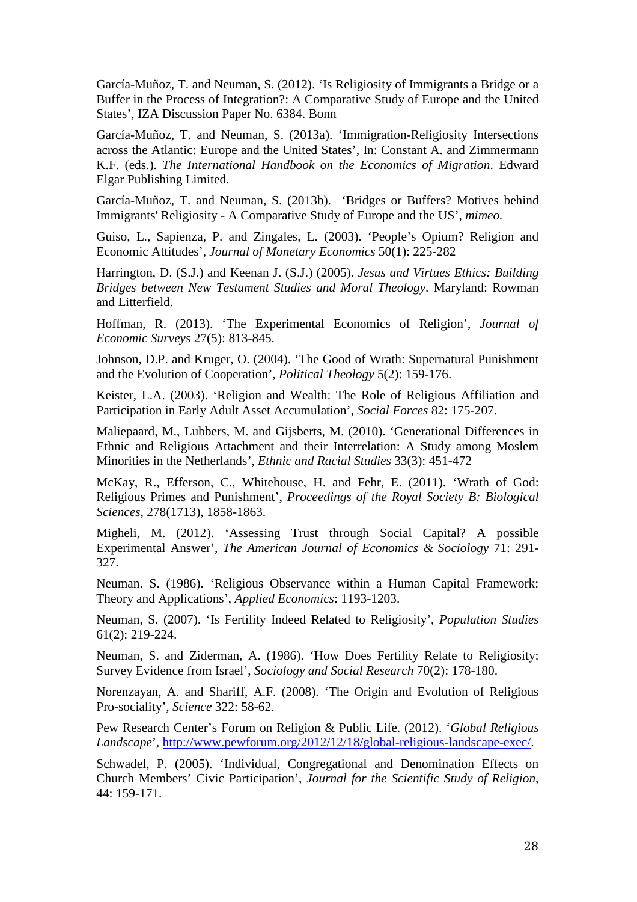García-Muñoz, T. and Neuman, S. (2012). 'Is Religiosity of Immigrants a Bridge or a Buffer in the Process of Integration?: A Comparative Study of Europe and the United States', IZA Discussion Paper No. 6384. Bonn

García-Muñoz, T. and Neuman, S. (2013a). 'Immigration-Religiosity Intersections across the Atlantic: Europe and the United States', In: Constant A. and Zimmermann K.F. (eds.). *The International Handbook on the Economics of Migration*. Edward Elgar Publishing Limited.

García-Muñoz, T. and Neuman, S. (2013b). 'Bridges or Buffers? Motives behind Immigrants' Religiosity - A Comparative Study of Europe and the US', *mimeo.*

Guiso, L., Sapienza, P. and Zingales, L. (2003). 'People's Opium? Religion and Economic Attitudes', *Journal of Monetary Economics* 50(1): 225-282

Harrington, D. (S.J.) and Keenan J. (S.J.) (2005). *Jesus and Virtues Ethics: Building Bridges between New Testament Studies and Moral Theology*. Maryland: Rowman and Litterfield.

Hoffman, R. (2013). 'The Experimental Economics of Religion', *Journal of Economic Surveys* 27(5): 813-845.

Johnson, D.P. and Kruger, O. (2004). 'The Good of Wrath: Supernatural Punishment and the Evolution of Cooperation', *Political Theology* 5(2): 159-176.

Keister, L.A. (2003). 'Religion and Wealth: The Role of Religious Affiliation and Participation in Early Adult Asset Accumulation', *Social Forces* 82: 175-207.

Maliepaard, M., Lubbers, M. and Gijsberts, M. (2010). 'Generational Differences in Ethnic and Religious Attachment and their Interrelation: A Study among Moslem Minorities in the Netherlands', *Ethnic and Racial Studies* 33(3): 451-472

McKay, R., Efferson, C., Whitehouse, H. and Fehr, E. (2011). 'Wrath of God: Religious Primes and Punishment', *Proceedings of the Royal Society B: Biological Sciences*, 278(1713), 1858-1863.

Migheli, M. (2012). 'Assessing Trust through Social Capital? A possible Experimental Answer', *The American Journal of Economics & Sociology* 71: 291- 327.

Neuman. S. (1986). 'Religious Observance within a Human Capital Framework: Theory and Applications', *Applied Economics*: 1193-1203.

Neuman, S. (2007). 'Is Fertility Indeed Related to Religiosity', *Population Studies* 61(2): 219-224.

Neuman, S. and Ziderman, A. (1986). 'How Does Fertility Relate to Religiosity: Survey Evidence from Israel', *Sociology and Social Research* 70(2): 178-180.

Norenzayan, A. and Shariff, A.F. (2008). 'The Origin and Evolution of Religious Pro-sociality', *Science* 322: 58-62.

Pew Research Center's Forum on Religion & Public Life. (2012). '*Global Religious Landscape*', [http://www.pewforum.org/2012/12/18/global-religious-landscape-exec/.](http://www.pewforum.org/2012/12/18/global-religious-landscape-exec/)

Schwadel, P. (2005). 'Individual, Congregational and Denomination Effects on Church Members' Civic Participation', *Journal for the Scientific Study of Religion*, 44: 159-171.